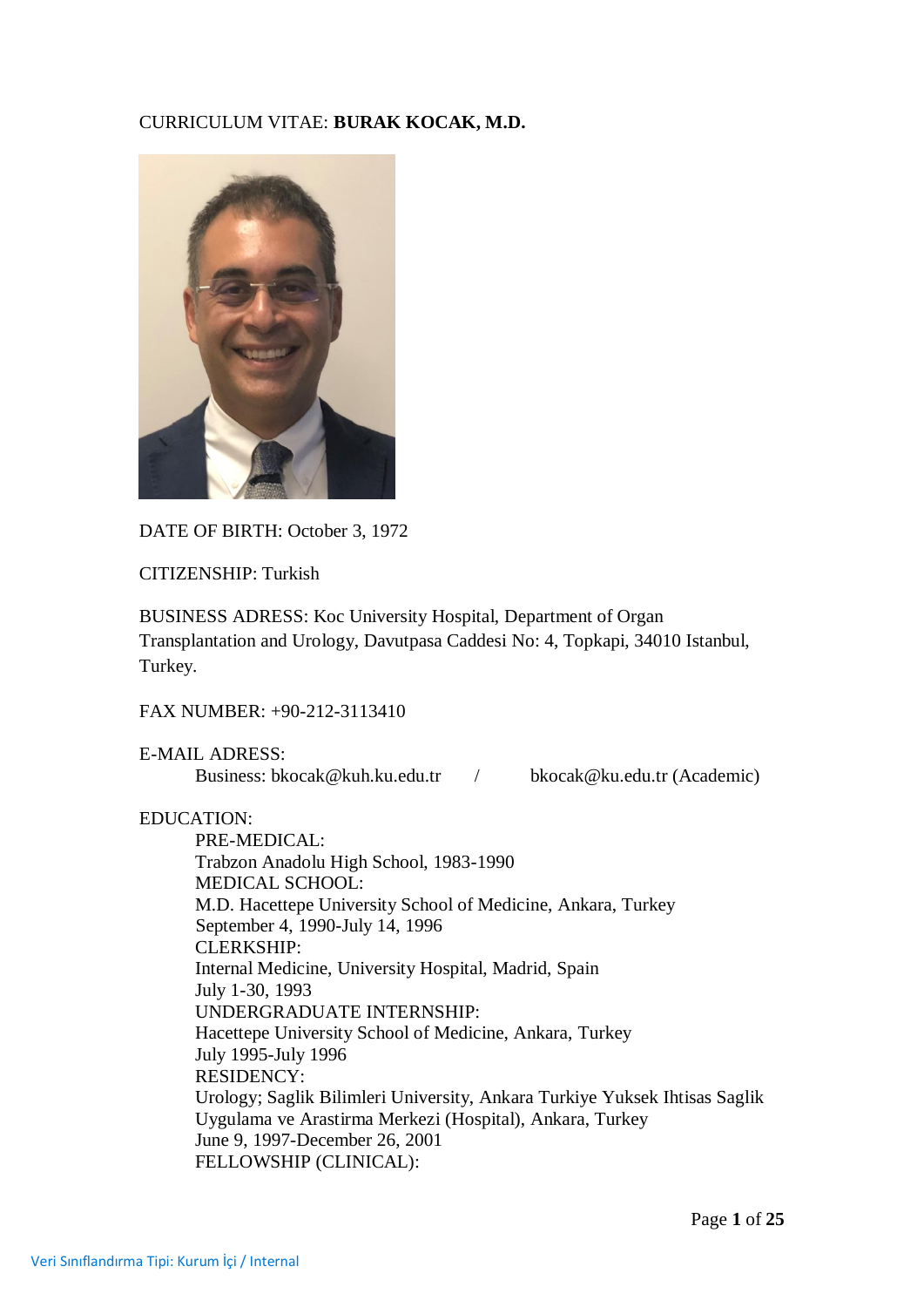# CURRICULUM VITAE: **BURAK KOCAK, M.D.**



DATE OF BIRTH: October 3, 1972

CITIZENSHIP: Turkish

BUSINESS ADRESS: Koc University Hospital, Department of Organ Transplantation and Urology, Davutpasa Caddesi No: 4, Topkapi, 34010 Istanbul, Turkey.

FAX NUMBER: +90-212-3113410

E-MAIL ADRESS: Business: [bkocak@kuh.ku.edu.tr](mailto:bkocak@kuh.ku.edu.tr) / [bkocak@ku.edu.tr](mailto:bkocak@ku.edu.tr) (Academic)

## EDUCATION:

PRE-MEDICAL: Trabzon Anadolu High School, 1983-1990 MEDICAL SCHOOL: M.D. Hacettepe University School of Medicine, Ankara, Turkey September 4, 1990-July 14, 1996 CLERKSHIP: Internal Medicine, University Hospital, Madrid, Spain July 1-30, 1993 UNDERGRADUATE INTERNSHIP: Hacettepe University School of Medicine, Ankara, Turkey July 1995-July 1996 RESIDENCY: Urology; Saglik Bilimleri University, Ankara Turkiye Yuksek Ihtisas Saglik Uygulama ve Arastirma Merkezi (Hospital), Ankara, Turkey June 9, 1997-December 26, 2001 FELLOWSHIP (CLINICAL):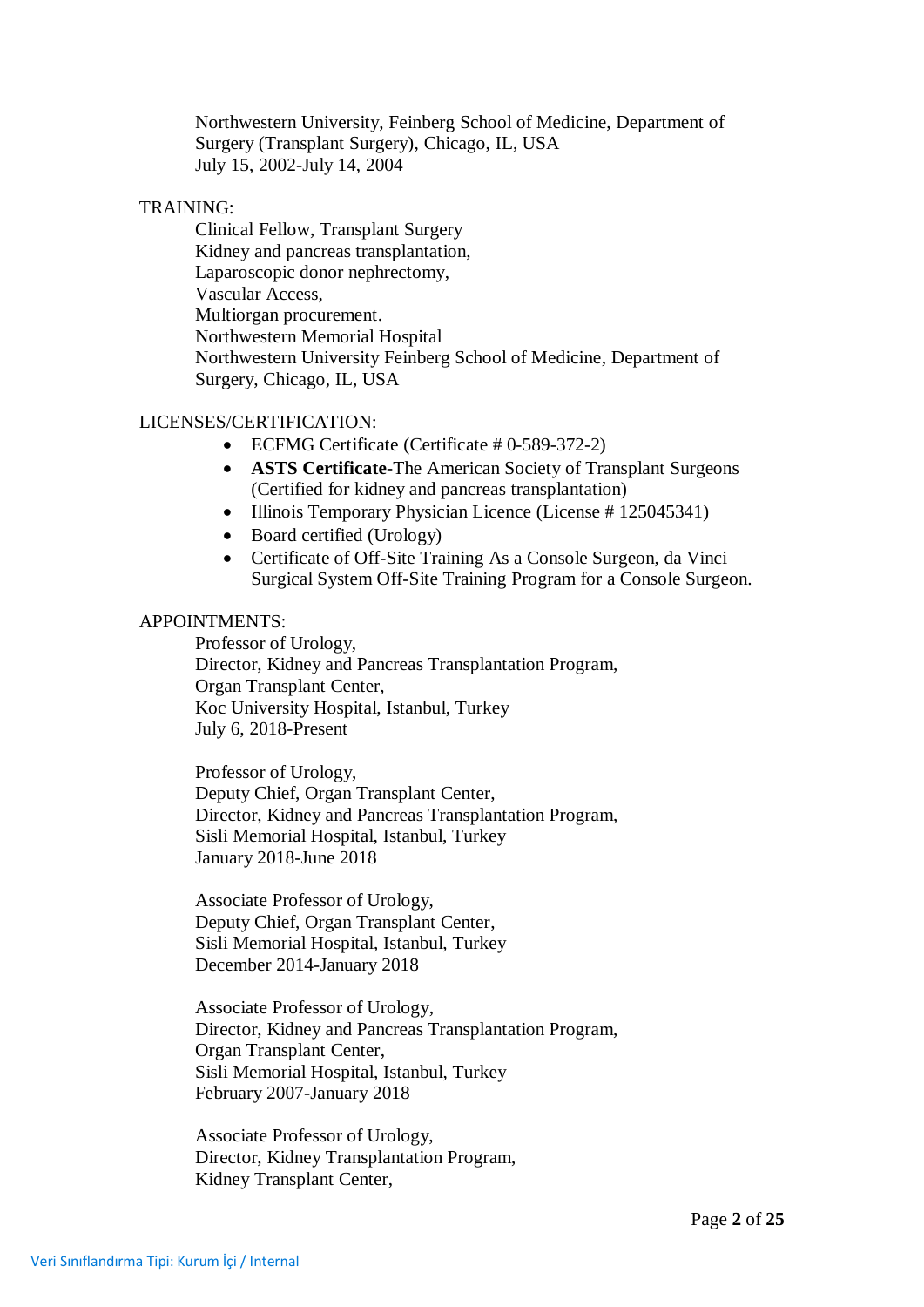Northwestern University, Feinberg School of Medicine, Department of Surgery (Transplant Surgery), Chicago, IL, USA July 15, 2002-July 14, 2004

#### TRAINING:

Clinical Fellow, Transplant Surgery Kidney and pancreas transplantation, Laparoscopic donor nephrectomy, Vascular Access, Multiorgan procurement. Northwestern Memorial Hospital Northwestern University Feinberg School of Medicine, Department of Surgery, Chicago, IL, USA

#### LICENSES/CERTIFICATION:

- ECFMG Certificate (Certificate # 0-589-372-2)
- **ASTS Certificate**-The American Society of Transplant Surgeons (Certified for kidney and pancreas transplantation)
- Illinois Temporary Physician Licence (License # 125045341)
- Board certified (Urology)
- Certificate of Off-Site Training As a Console Surgeon, da Vinci Surgical System Off-Site Training Program for a Console Surgeon.

#### APPOINTMENTS:

Professor of Urology, Director, Kidney and Pancreas Transplantation Program, Organ Transplant Center, Koc University Hospital, Istanbul, Turkey July 6, 2018-Present

Professor of Urology, Deputy Chief, Organ Transplant Center, Director, Kidney and Pancreas Transplantation Program, Sisli Memorial Hospital, Istanbul, Turkey January 2018-June 2018

Associate Professor of Urology, Deputy Chief, Organ Transplant Center, Sisli Memorial Hospital, Istanbul, Turkey December 2014-January 2018

Associate Professor of Urology, Director, Kidney and Pancreas Transplantation Program, Organ Transplant Center, Sisli Memorial Hospital, Istanbul, Turkey February 2007-January 2018

Associate Professor of Urology, Director, Kidney Transplantation Program, Kidney Transplant Center,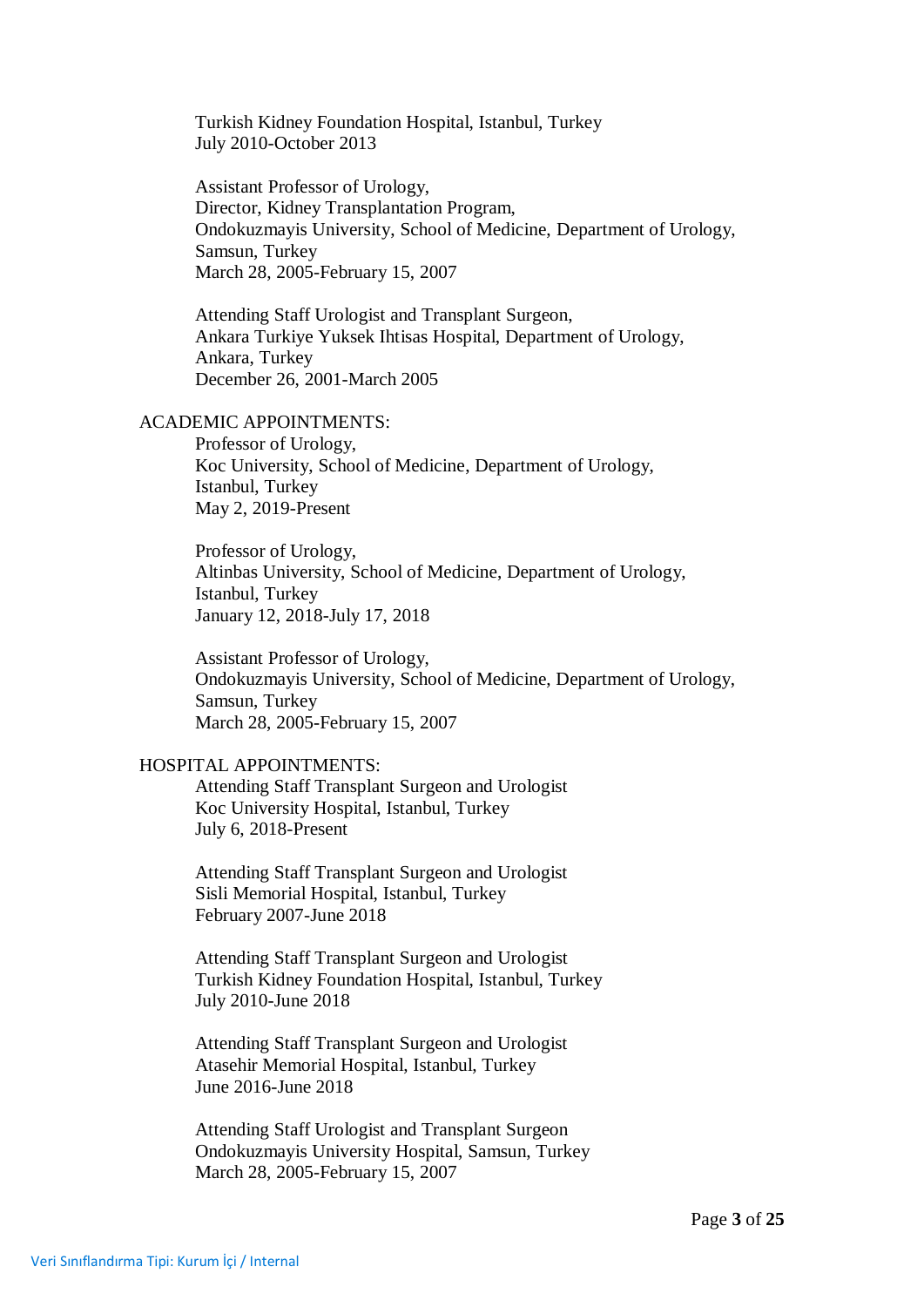Turkish Kidney Foundation Hospital, Istanbul, Turkey July 2010-October 2013

Assistant Professor of Urology, Director, Kidney Transplantation Program, Ondokuzmayis University, School of Medicine, Department of Urology, Samsun, Turkey March 28, 2005-February 15, 2007

Attending Staff Urologist and Transplant Surgeon, Ankara Turkiye Yuksek Ihtisas Hospital, Department of Urology, Ankara, Turkey December 26, 2001-March 2005

## ACADEMIC APPOINTMENTS:

Professor of Urology, Koc University, School of Medicine, Department of Urology, Istanbul, Turkey May 2, 2019-Present

Professor of Urology, Altinbas University, School of Medicine, Department of Urology, Istanbul, Turkey January 12, 2018-July 17, 2018

Assistant Professor of Urology, Ondokuzmayis University, School of Medicine, Department of Urology, Samsun, Turkey March 28, 2005-February 15, 2007

## HOSPITAL APPOINTMENTS:

Attending Staff Transplant Surgeon and Urologist Koc University Hospital, Istanbul, Turkey July 6, 2018-Present

Attending Staff Transplant Surgeon and Urologist Sisli Memorial Hospital, Istanbul, Turkey February 2007-June 2018

Attending Staff Transplant Surgeon and Urologist Turkish Kidney Foundation Hospital, Istanbul, Turkey July 2010-June 2018

Attending Staff Transplant Surgeon and Urologist Atasehir Memorial Hospital, Istanbul, Turkey June 2016-June 2018

Attending Staff Urologist and Transplant Surgeon Ondokuzmayis University Hospital, Samsun, Turkey March 28, 2005-February 15, 2007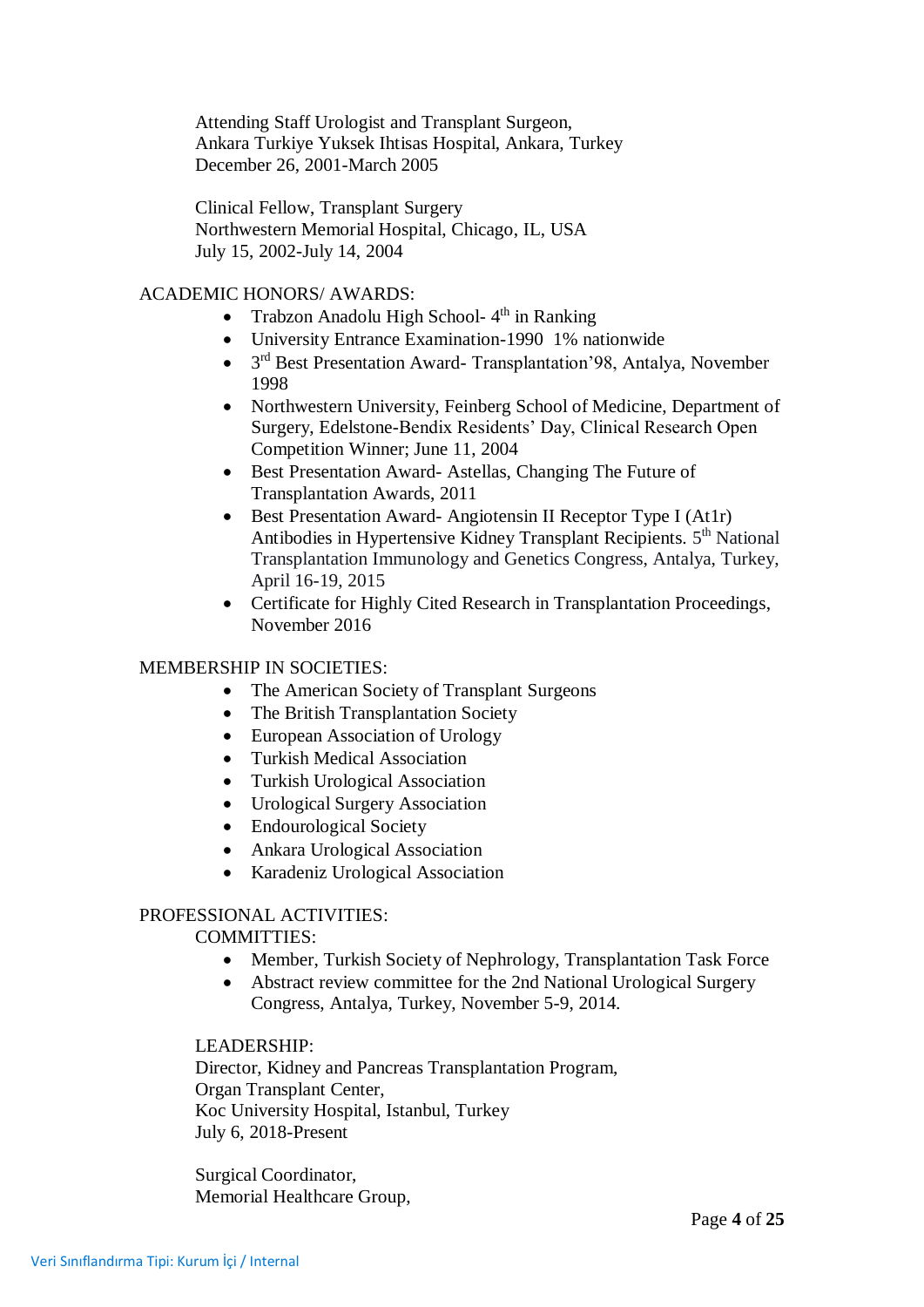Attending Staff Urologist and Transplant Surgeon, Ankara Turkiye Yuksek Ihtisas Hospital, Ankara, Turkey December 26, 2001-March 2005

Clinical Fellow, Transplant Surgery Northwestern Memorial Hospital, Chicago, IL, USA July 15, 2002-July 14, 2004

# ACADEMIC HONORS/ AWARDS:

- Trabzon Anadolu High School- $4<sup>th</sup>$  in Ranking
- University Entrance Examination-1990 1% nationwide
- 3<sup>rd</sup> Best Presentation Award- Transplantation'98, Antalya, November 1998
- Northwestern University, Feinberg School of Medicine, Department of Surgery, Edelstone-Bendix Residents' Day, Clinical Research Open Competition Winner; June 11, 2004
- Best Presentation Award- Astellas, Changing The Future of Transplantation Awards, 2011
- Best Presentation Award- Angiotensin II Receptor Type I (At1r) Antibodies in Hypertensive Kidney Transplant Recipients. 5<sup>th</sup> National Transplantation Immunology and Genetics Congress, Antalya, Turkey, April 16-19, 2015
- Certificate for Highly Cited Research in Transplantation Proceedings, November 2016

# MEMBERSHIP IN SOCIETIES:

- The American Society of Transplant Surgeons
- The British Transplantation Society
- European Association of Urology
- Turkish Medical Association
- Turkish Urological Association
- Urological Surgery Association
- Endourological Society
- Ankara Urological Association
- Karadeniz Urological Association

# PROFESSIONAL ACTIVITIES:

## COMMITTIES:

- Member, Turkish Society of Nephrology, Transplantation Task Force
- Abstract review committee for the 2nd National Urological Surgery Congress, Antalya, Turkey, November 5-9, 2014.

## LEADERSHIP:

Director, Kidney and Pancreas Transplantation Program, Organ Transplant Center, Koc University Hospital, Istanbul, Turkey July 6, 2018-Present

Surgical Coordinator, Memorial Healthcare Group,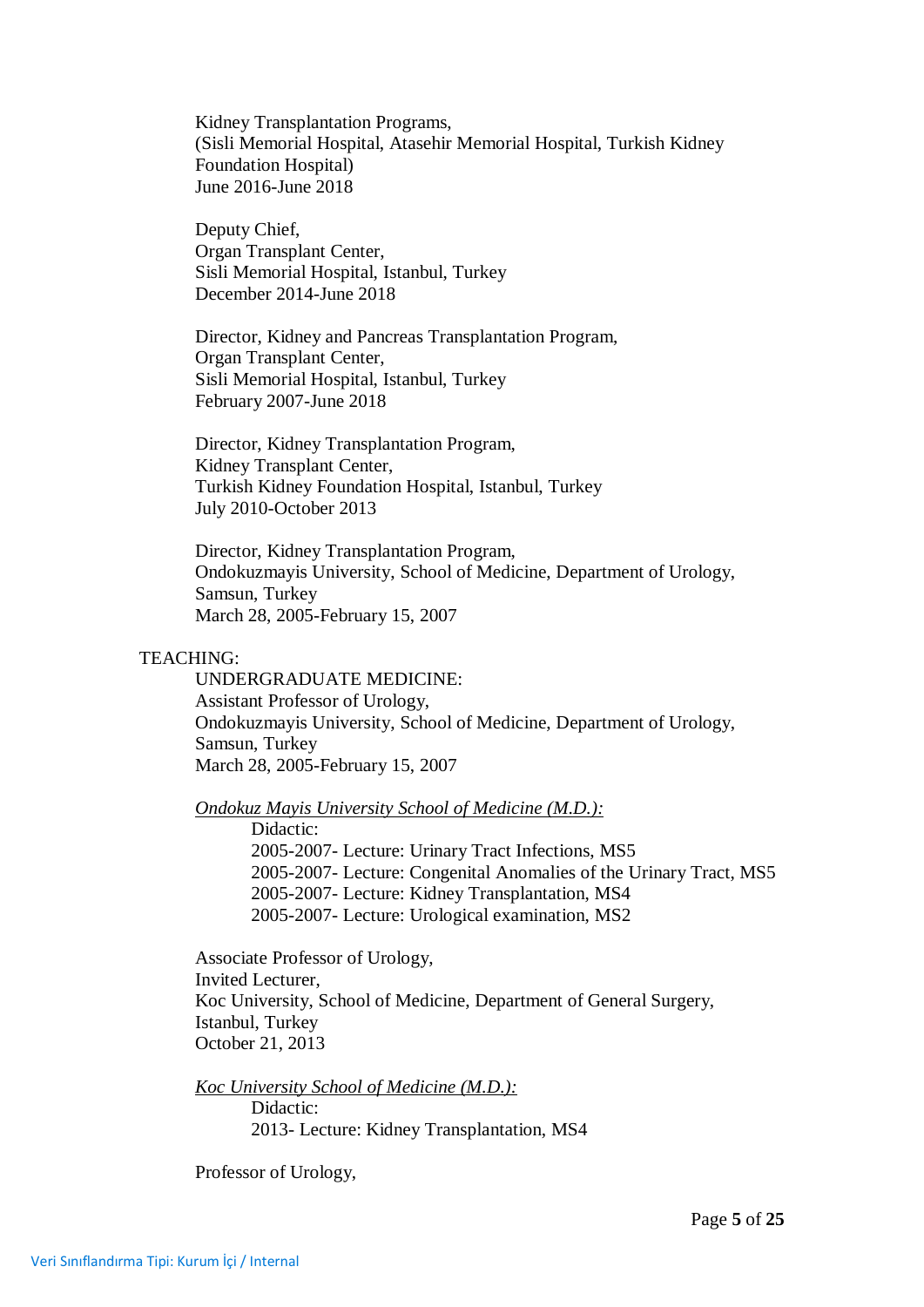Kidney Transplantation Programs, (Sisli Memorial Hospital, Atasehir Memorial Hospital, Turkish Kidney Foundation Hospital) June 2016-June 2018

Deputy Chief, Organ Transplant Center, Sisli Memorial Hospital, Istanbul, Turkey December 2014-June 2018

Director, Kidney and Pancreas Transplantation Program, Organ Transplant Center, Sisli Memorial Hospital, Istanbul, Turkey February 2007-June 2018

Director, Kidney Transplantation Program, Kidney Transplant Center, Turkish Kidney Foundation Hospital, Istanbul, Turkey July 2010-October 2013

Director, Kidney Transplantation Program, Ondokuzmayis University, School of Medicine, Department of Urology, Samsun, Turkey March 28, 2005-February 15, 2007

#### TEACHING:

UNDERGRADUATE MEDICINE: Assistant Professor of Urology, Ondokuzmayis University, School of Medicine, Department of Urology, Samsun, Turkey March 28, 2005-February 15, 2007

*Ondokuz Mayis University School of Medicine (M.D.):*

Didactic: 2005-2007- Lecture: Urinary Tract Infections, MS5 2005-2007- Lecture: Congenital Anomalies of the Urinary Tract, MS5 2005-2007- Lecture: Kidney Transplantation, MS4 2005-2007- Lecture: Urological examination, MS2

Associate Professor of Urology, Invited Lecturer, Koc University, School of Medicine, Department of General Surgery, Istanbul, Turkey October 21, 2013

*Koc University School of Medicine (M.D.):* Didactic: 2013- Lecture: Kidney Transplantation, MS4

Professor of Urology,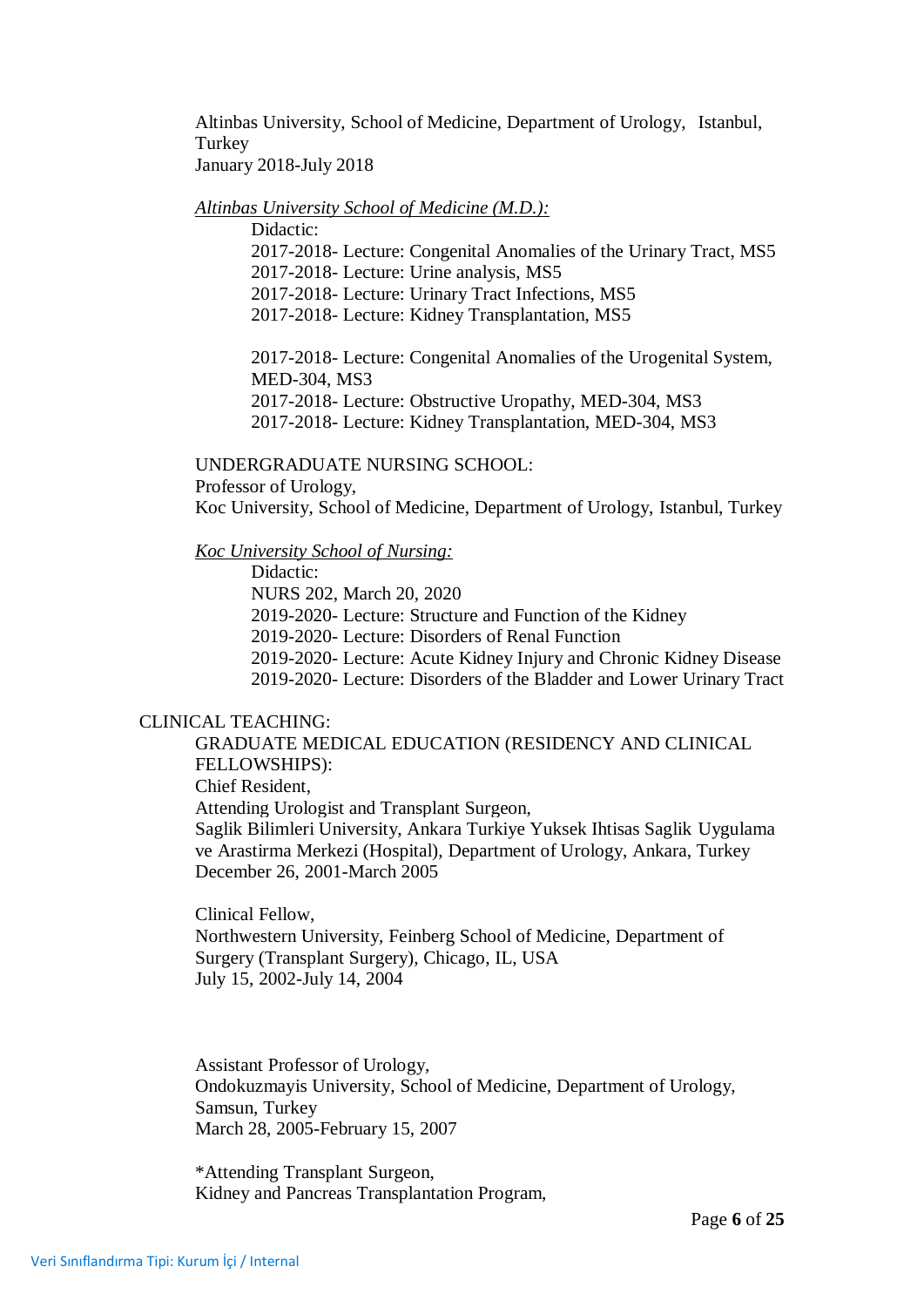Altinbas University, School of Medicine, Department of Urology, Istanbul, Turkey January 2018-July 2018

#### *Altinbas University School of Medicine (M.D.):*

Didactic:

2017-2018- Lecture: Congenital Anomalies of the Urinary Tract, MS5

2017-2018- Lecture: Urine analysis, MS5

2017-2018- Lecture: Urinary Tract Infections, MS5

2017-2018- Lecture: Kidney Transplantation, MS5

2017-2018- Lecture: Congenital Anomalies of the Urogenital System, MED-304, MS3

2017-2018- Lecture: Obstructive Uropathy, MED-304, MS3

2017-2018- Lecture: Kidney Transplantation, MED-304, MS3

#### UNDERGRADUATE NURSING SCHOOL:

Professor of Urology,

Koc University, School of Medicine, Department of Urology, Istanbul, Turkey

*Koc University School of Nursing:*

Didactic:

NURS 202, March 20, 2020

2019-2020- Lecture: Structure and Function of the Kidney

2019-2020- Lecture: Disorders of Renal Function

2019-2020- Lecture: Acute Kidney Injury and Chronic Kidney Disease

2019-2020- Lecture: Disorders of the Bladder and Lower Urinary Tract

#### CLINICAL TEACHING:

GRADUATE MEDICAL EDUCATION (RESIDENCY AND CLINICAL FELLOWSHIPS): Chief Resident, Attending Urologist and Transplant Surgeon, Saglik Bilimleri University, Ankara Turkiye Yuksek Ihtisas Saglik Uygulama ve Arastirma Merkezi (Hospital), Department of Urology, Ankara, Turkey

December 26, 2001-March 2005

Clinical Fellow, Northwestern University, Feinberg School of Medicine, Department of Surgery (Transplant Surgery), Chicago, IL, USA July 15, 2002-July 14, 2004

Assistant Professor of Urology, Ondokuzmayis University, School of Medicine, Department of Urology, Samsun, Turkey March 28, 2005-February 15, 2007

\*Attending Transplant Surgeon, Kidney and Pancreas Transplantation Program,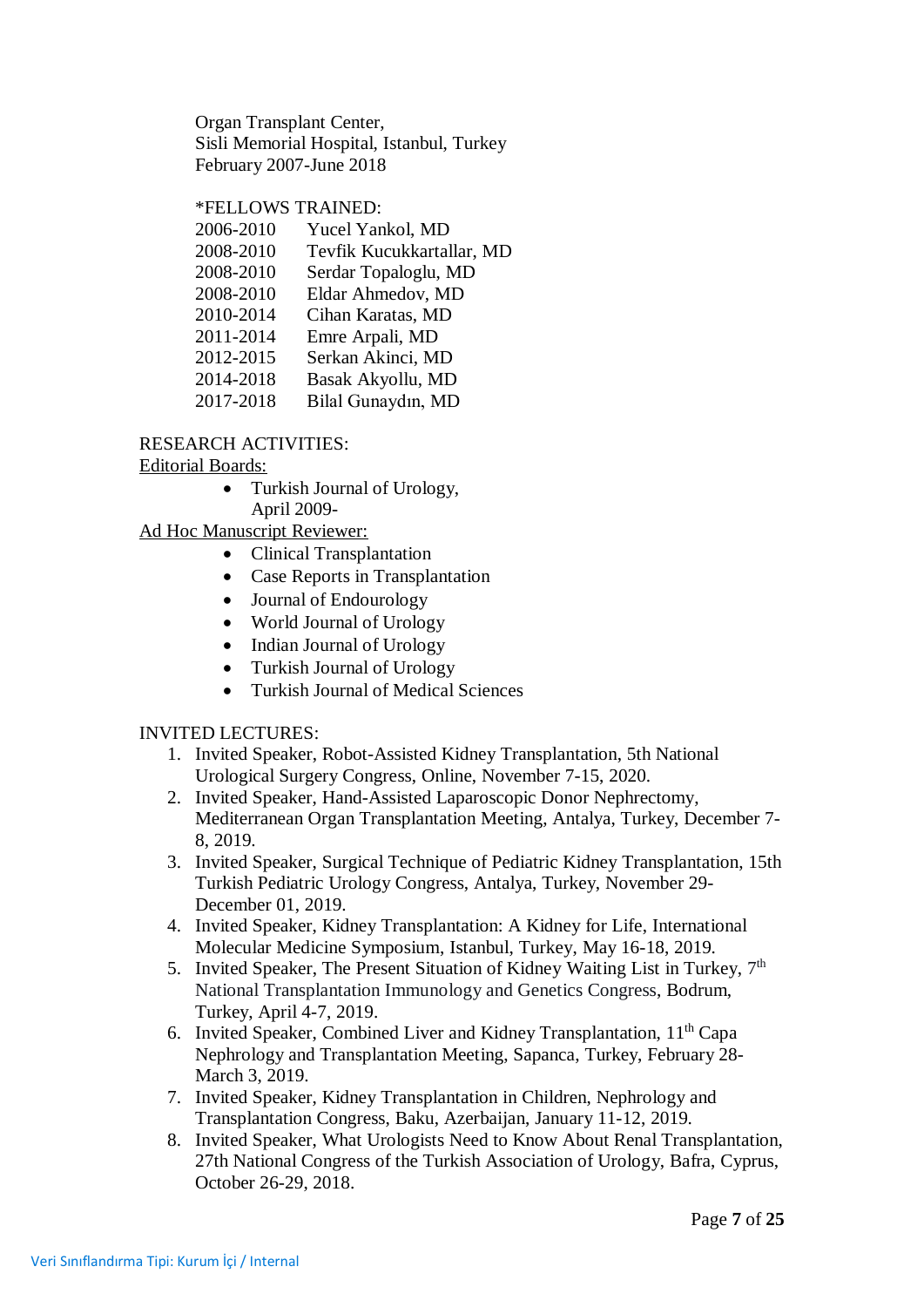Organ Transplant Center, Sisli Memorial Hospital, Istanbul, Turkey February 2007-June 2018

## \*FELLOWS TRAINED:

| 2006-2010 | Yucel Yankol, MD          |
|-----------|---------------------------|
| 2008-2010 | Tevfik Kucukkartallar, MD |
| 2008-2010 | Serdar Topaloglu, MD      |
| 2008-2010 | Eldar Ahmedov, MD         |
| 2010-2014 | Cihan Karatas, MD         |
| 2011-2014 | Emre Arpali, MD           |
| 2012-2015 | Serkan Akinci, MD         |
| 2014-2018 | Basak Akyollu, MD         |
| 2017-2018 | Bilal Gunaydın, MD        |
|           |                           |

#### RESEARCH ACTIVITIES:

## Editorial Boards:

• Turkish Journal of Urology, April 2009-

Ad Hoc Manuscript Reviewer:

- Clinical Transplantation
- Case Reports in Transplantation
- Journal of Endourology
- World Journal of Urology
- Indian Journal of Urology
- Turkish Journal of Urology
- Turkish Journal of Medical Sciences

## INVITED LECTURES:

- 1. Invited Speaker, Robot-Assisted Kidney Transplantation, 5th National Urological Surgery Congress, Online, November 7-15, 2020.
- 2. Invited Speaker, Hand-Assisted Laparoscopic Donor Nephrectomy, Mediterranean Organ Transplantation Meeting, Antalya, Turkey, December 7- 8, 2019.
- 3. Invited Speaker, Surgical Technique of Pediatric Kidney Transplantation, 15th Turkish Pediatric Urology Congress, Antalya, Turkey, November 29- December 01, 2019.
- 4. Invited Speaker, Kidney Transplantation: A Kidney for Life, International Molecular Medicine Symposium, Istanbul, Turkey, May 16-18, 2019.
- 5. Invited Speaker, The Present Situation of Kidney Waiting List in Turkey,  $7<sup>th</sup>$ National Transplantation Immunology and Genetics Congress, Bodrum, Turkey, April 4-7, 2019.
- 6. Invited Speaker, Combined Liver and Kidney Transplantation, 11<sup>th</sup> Capa Nephrology and Transplantation Meeting, Sapanca, Turkey, February 28- March 3, 2019.
- 7. Invited Speaker, Kidney Transplantation in Children, Nephrology and Transplantation Congress, Baku, Azerbaijan, January 11-12, 2019.
- 8. Invited Speaker, What Urologists Need to Know About Renal Transplantation, 27th National Congress of the Turkish Association of Urology, Bafra, Cyprus, October 26-29, 2018.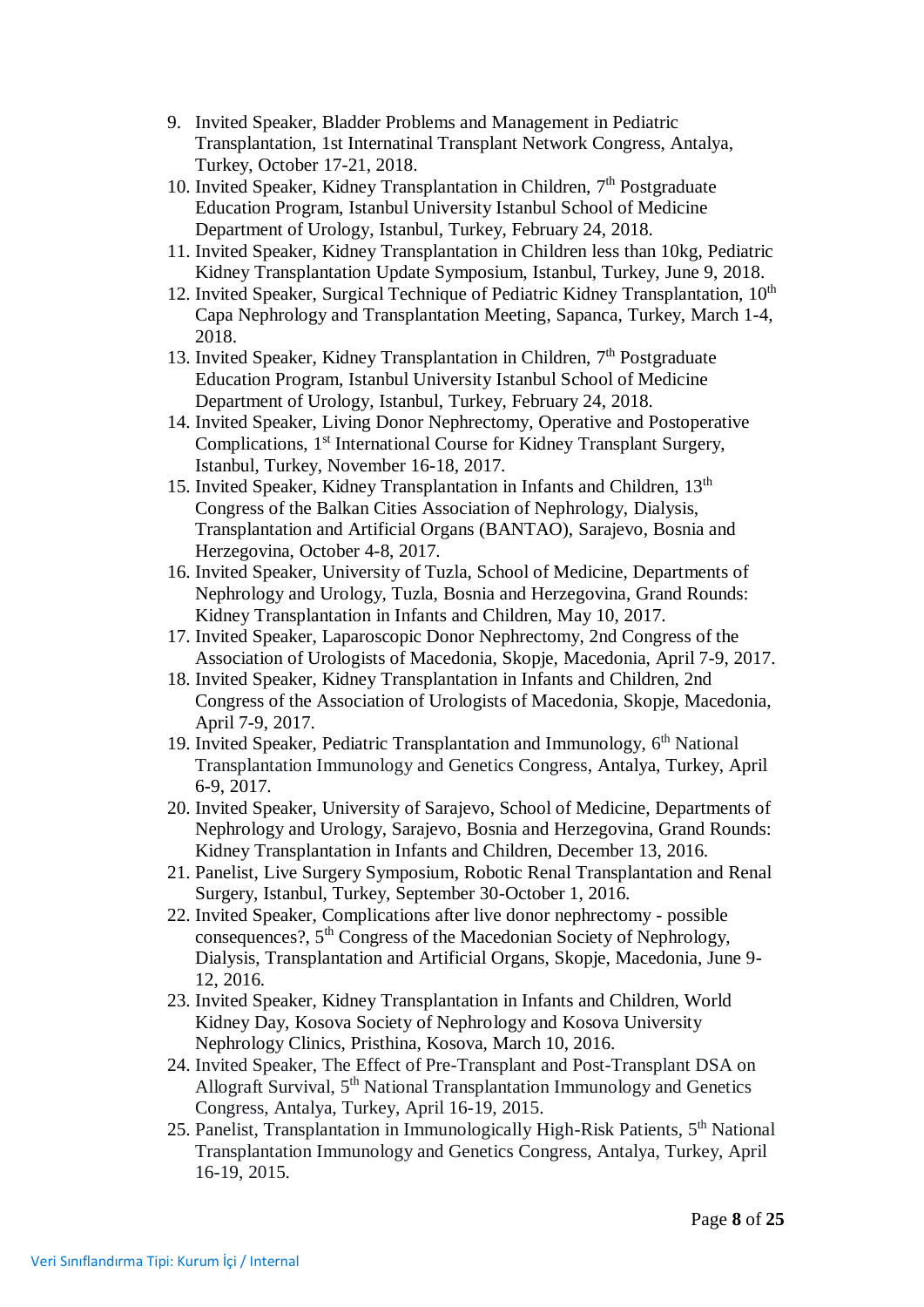- 9. Invited Speaker, Bladder Problems and Management in Pediatric Transplantation, 1st Internatinal Transplant Network Congress, Antalya, Turkey, October 17-21, 2018.
- 10. Invited Speaker, Kidney Transplantation in Children, 7<sup>th</sup> Postgraduate Education Program, Istanbul University Istanbul School of Medicine Department of Urology, Istanbul, Turkey, February 24, 2018.
- 11. Invited Speaker, Kidney Transplantation in Children less than 10kg, Pediatric Kidney Transplantation Update Symposium, Istanbul, Turkey, June 9, 2018.
- 12. Invited Speaker, Surgical Technique of Pediatric Kidney Transplantation,  $10<sup>th</sup>$ Capa Nephrology and Transplantation Meeting, Sapanca, Turkey, March 1-4, 2018.
- 13. Invited Speaker, Kidney Transplantation in Children, 7<sup>th</sup> Postgraduate Education Program, Istanbul University Istanbul School of Medicine Department of Urology, Istanbul, Turkey, February 24, 2018.
- 14. Invited Speaker, Living Donor Nephrectomy, Operative and Postoperative Complications, 1<sup>st</sup> International Course for Kidney Transplant Surgery, Istanbul, Turkey, November 16-18, 2017.
- 15. Invited Speaker, Kidney Transplantation in Infants and Children,  $13<sup>th</sup>$ Congress of the Balkan Cities Association of Nephrology, Dialysis, Transplantation and Artificial Organs (BANTAO), Sarajevo, Bosnia and Herzegovina, October 4-8, 2017.
- 16. Invited Speaker, University of Tuzla, School of Medicine, Departments of Nephrology and Urology, Tuzla, Bosnia and Herzegovina, Grand Rounds: Kidney Transplantation in Infants and Children, May 10, 2017.
- 17. Invited Speaker, Laparoscopic Donor Nephrectomy, 2nd Congress of the Association of Urologists of Macedonia, Skopje, Macedonia, April 7-9, 2017.
- 18. Invited Speaker, Kidney Transplantation in Infants and Children, 2nd Congress of the Association of Urologists of Macedonia, Skopje, Macedonia, April 7-9, 2017.
- 19. Invited Speaker, Pediatric Transplantation and Immunology, 6<sup>th</sup> National Transplantation Immunology and Genetics Congress, Antalya, Turkey, April 6-9, 2017.
- 20. Invited Speaker, University of Sarajevo, School of Medicine, Departments of Nephrology and Urology, Sarajevo, Bosnia and Herzegovina, Grand Rounds: Kidney Transplantation in Infants and Children, December 13, 2016.
- 21. Panelist, Live Surgery Symposium, Robotic Renal Transplantation and Renal Surgery, Istanbul, Turkey, September 30-October 1, 2016.
- 22. Invited Speaker, Complications after live donor nephrectomy possible consequences?, 5<sup>th</sup> Congress of the Macedonian Society of Nephrology, Dialysis, Transplantation and Artificial Organs, Skopje, Macedonia, June 9- 12, 2016.
- 23. Invited Speaker, Kidney Transplantation in Infants and Children, World Kidney Day, Kosova Society of Nephrology and Kosova University Nephrology Clinics, Pristhina, Kosova, March 10, 2016.
- 24. Invited Speaker, The Effect of Pre-Transplant and Post-Transplant DSA on Allograft Survival, 5<sup>th</sup> National Transplantation Immunology and Genetics Congress, Antalya, Turkey, April 16-19, 2015.
- 25. Panelist, Transplantation in Immunologically High-Risk Patients, 5<sup>th</sup> National Transplantation Immunology and Genetics Congress, Antalya, Turkey, April 16-19, 2015.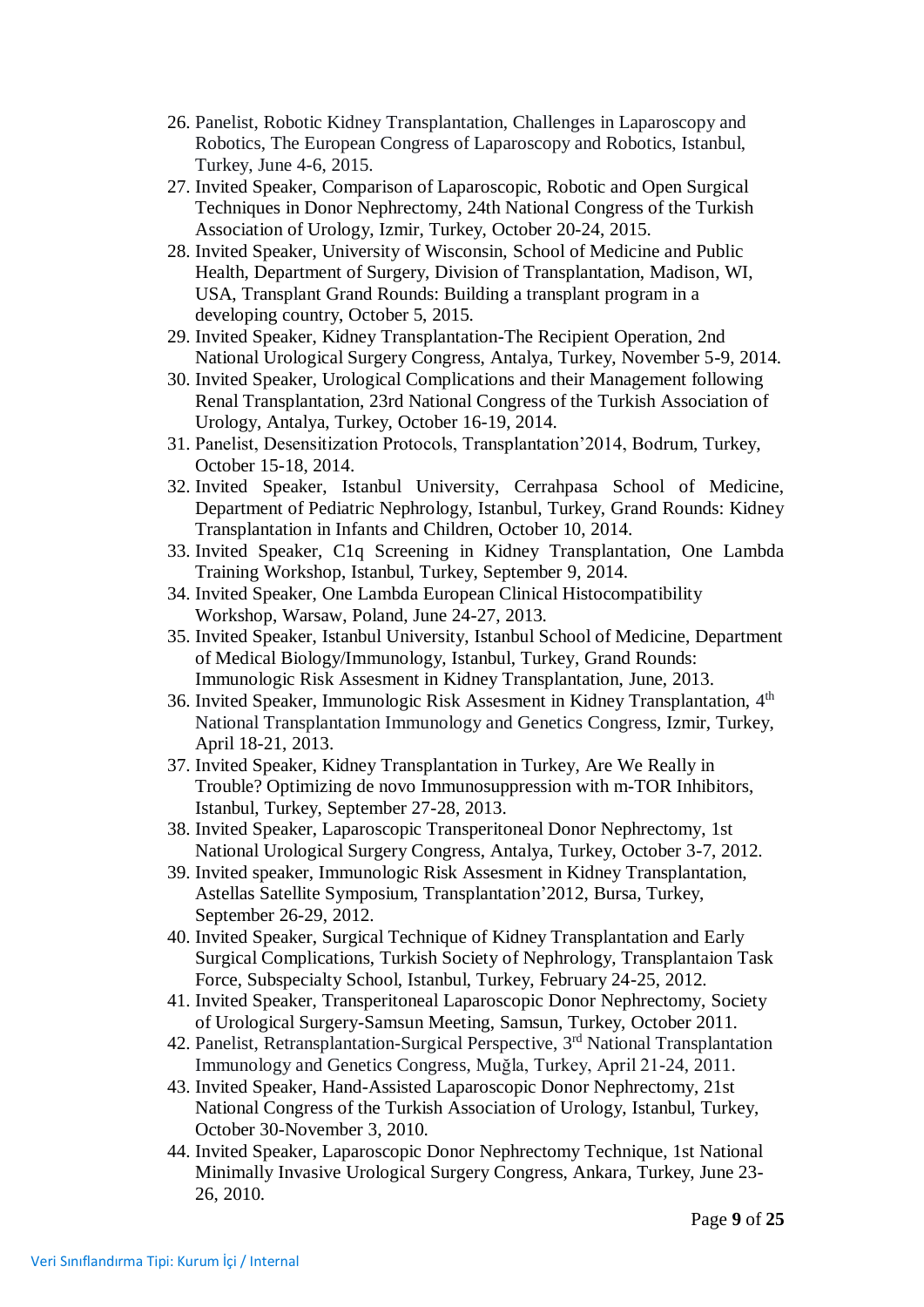- 26. Panelist, Robotic Kidney Transplantation, Challenges in Laparoscopy and Robotics, The European Congress of Laparoscopy and Robotics, Istanbul, Turkey, June 4-6, 2015.
- 27. Invited Speaker, Comparison of Laparoscopic, Robotic and Open Surgical Techniques in Donor Nephrectomy, 24th National Congress of the Turkish Association of Urology, Izmir, Turkey, October 20-24, 2015.
- 28. Invited Speaker, University of Wisconsin, School of Medicine and Public Health, Department of Surgery, Division of Transplantation, Madison, WI, USA, Transplant Grand Rounds: Building a transplant program in a developing country, October 5, 2015.
- 29. Invited Speaker, Kidney Transplantation-The Recipient Operation, 2nd National Urological Surgery Congress, Antalya, Turkey, November 5-9, 2014.
- 30. Invited Speaker, Urological Complications and their Management following Renal Transplantation, 23rd National Congress of the Turkish Association of Urology, Antalya, Turkey, October 16-19, 2014.
- 31. Panelist, Desensitization Protocols, Transplantation'2014, Bodrum, Turkey, October 15-18, 2014.
- 32. Invited Speaker, Istanbul University, Cerrahpasa School of Medicine, Department of Pediatric Nephrology, Istanbul, Turkey, Grand Rounds: Kidney Transplantation in Infants and Children, October 10, 2014.
- 33. Invited Speaker, C1q Screening in Kidney Transplantation, One Lambda Training Workshop, Istanbul, Turkey, September 9, 2014.
- 34. Invited Speaker, One Lambda European Clinical Histocompatibility Workshop, Warsaw, Poland, June 24-27, 2013.
- 35. Invited Speaker, Istanbul University, Istanbul School of Medicine, Department of Medical Biology/Immunology, Istanbul, Turkey, Grand Rounds: Immunologic Risk Assesment in Kidney Transplantation, June, 2013.
- 36. Invited Speaker, Immunologic Risk Assesment in Kidney Transplantation, 4<sup>th</sup> National Transplantation Immunology and Genetics Congress, Izmir, Turkey, April 18-21, 2013.
- 37. Invited Speaker, Kidney Transplantation in Turkey, Are We Really in Trouble? Optimizing de novo Immunosuppression with m-TOR Inhibitors, Istanbul, Turkey, September 27-28, 2013.
- 38. Invited Speaker, Laparoscopic Transperitoneal Donor Nephrectomy, 1st National Urological Surgery Congress, Antalya, Turkey, October 3-7, 2012.
- 39. Invited speaker, Immunologic Risk Assesment in Kidney Transplantation, Astellas Satellite Symposium, Transplantation'2012, Bursa, Turkey, September 26-29, 2012.
- 40. Invited Speaker, Surgical Technique of Kidney Transplantation and Early Surgical Complications, Turkish Society of Nephrology, Transplantaion Task Force, Subspecialty School, Istanbul, Turkey, February 24-25, 2012.
- 41. Invited Speaker, Transperitoneal Laparoscopic Donor Nephrectomy, Society of Urological Surgery-Samsun Meeting, Samsun, Turkey, October 2011.
- 42. Panelist, Retransplantation-Surgical Perspective, 3rd National Transplantation Immunology and Genetics Congress, Muğla, Turkey, April 21-24, 2011.
- 43. Invited Speaker, Hand-Assisted Laparoscopic Donor Nephrectomy, 21st National Congress of the Turkish Association of Urology, Istanbul, Turkey, October 30-November 3, 2010.
- 44. Invited Speaker, Laparoscopic Donor Nephrectomy Technique, 1st National Minimally Invasive Urological Surgery Congress, Ankara, Turkey, June 23- 26, 2010.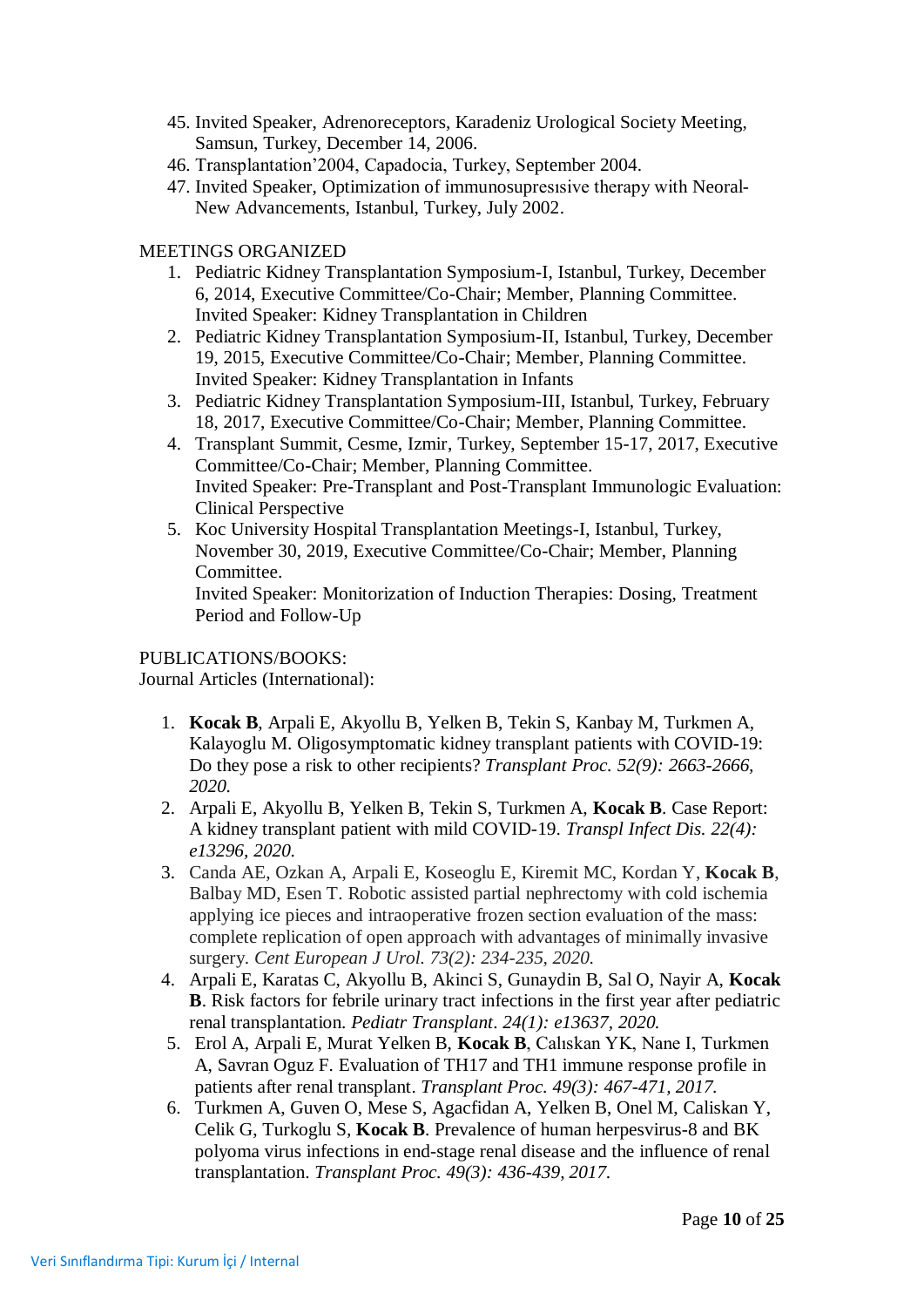- 45. Invited Speaker, Adrenoreceptors, Karadeniz Urological Society Meeting, Samsun, Turkey, December 14, 2006.
- 46. Transplantation'2004, Capadocia, Turkey, September 2004.
- 47. Invited Speaker, Optimization of immunosupresısive therapy with Neoral-New Advancements, Istanbul, Turkey, July 2002.

## MEETINGS ORGANIZED

- 1. Pediatric Kidney Transplantation Symposium-I, Istanbul, Turkey, December 6, 2014, Executive Committee/Co-Chair; Member, Planning Committee. Invited Speaker: Kidney Transplantation in Children
- 2. Pediatric Kidney Transplantation Symposium-II, Istanbul, Turkey, December 19, 2015, Executive Committee/Co-Chair; Member, Planning Committee. Invited Speaker: Kidney Transplantation in Infants
- 3. Pediatric Kidney Transplantation Symposium-III, Istanbul, Turkey, February 18, 2017, Executive Committee/Co-Chair; Member, Planning Committee.
- 4. Transplant Summit, Cesme, Izmir, Turkey, September 15-17, 2017, Executive Committee/Co-Chair; Member, Planning Committee. Invited Speaker: Pre-Transplant and Post-Transplant Immunologic Evaluation: Clinical Perspective
- 5. Koc University Hospital Transplantation Meetings-I, Istanbul, Turkey, November 30, 2019, Executive Committee/Co-Chair; Member, Planning Committee.

Invited Speaker: Monitorization of Induction Therapies: Dosing, Treatment Period and Follow-Up

PUBLICATIONS/BOOKS:

Journal Articles (International):

- 1. **Kocak B**, Arpali E, Akyollu B, Yelken B, Tekin S, Kanbay M, Turkmen A, Kalayoglu M. Oligosymptomatic kidney transplant patients with COVID-19: Do they pose a risk to other recipients? *Transplant Proc. 52(9): 2663-2666, 2020.*
- 2. Arpali E, Akyollu B, Yelken B, Tekin S, Turkmen A, **Kocak B**. Case Report: A kidney transplant patient with mild COVID-19. *Transpl Infect Dis. 22(4): e13296, 2020.*
- 3. Canda AE, Ozkan A, Arpali E, Koseoglu E, Kiremit MC, Kordan Y, **Kocak B**, Balbay MD, Esen T. Robotic assisted partial nephrectomy with cold ischemia applying ice pieces and intraoperative frozen section evaluation of the mass: complete replication of open approach with advantages of minimally invasive surgery. *Cent European J Urol. 73(2): 234-235, 2020.*
- 4. Arpali E, Karatas C, Akyollu B, Akinci S, Gunaydin B, Sal O, Nayir A, **Kocak B**. Risk factors for febrile urinary tract infections in the first year after pediatric renal transplantation. *Pediatr Transplant*. *24(1): e13637, 2020.*
- 5. Erol A, Arpali E, Murat Yelken B, **Kocak B**, Calıskan YK, Nane I, Turkmen A, Savran Oguz F. Evaluation of TH17 and TH1 immune response profile in patients after renal transplant. *Transplant Proc. 49(3): 467-471, 2017.*
- 6. Turkmen A, Guven O, Mese S, Agacfidan A, Yelken B, Onel M, Caliskan Y, Celik G, Turkoglu S, **Kocak B**. Prevalence of human herpesvirus-8 and BK polyoma virus infections in end-stage renal disease and the influence of renal transplantation. *Transplant Proc. 49(3): 436-439, 2017.*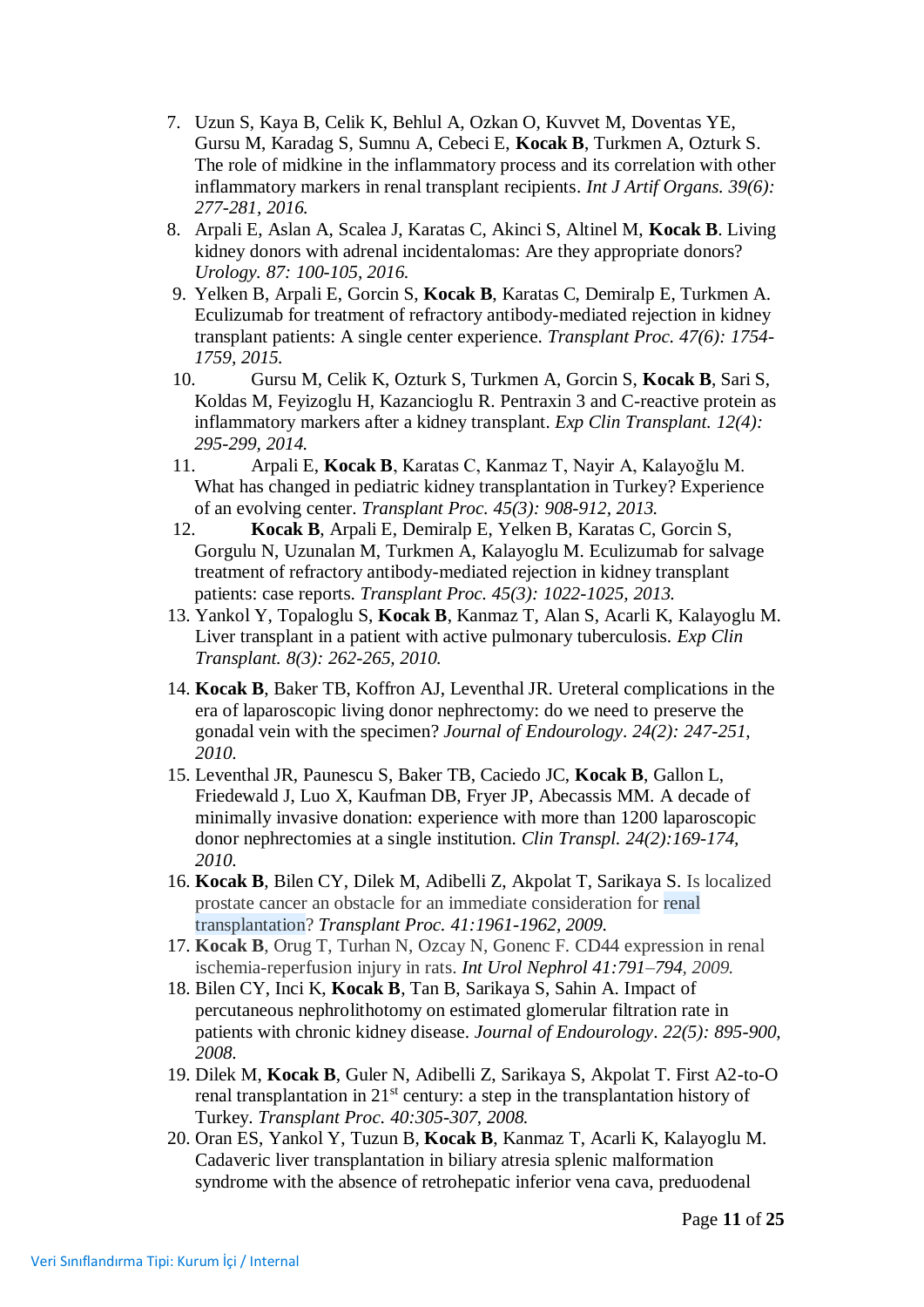- 7. Uzun S, Kaya B, Celik K, Behlul A, Ozkan O, Kuvvet M, Doventas YE, Gursu M, Karadag S, Sumnu A, Cebeci E, **Kocak B**, Turkmen A, Ozturk S. The role of midkine in the inflammatory process and its correlation with other inflammatory markers in renal transplant recipients. *Int J Artif Organs. 39(6): 277-281, 2016.*
- 8. Arpali E, Aslan A, Scalea J, Karatas C, Akinci S, Altinel M, **Kocak B**. Living kidney donors with adrenal incidentalomas: Are they appropriate donors? *Urology. 87: 100-105, 2016.*
- 9. Yelken B, Arpali E, Gorcin S, **Kocak B**, Karatas C, Demiralp E, Turkmen A. Eculizumab for treatment of refractory antibody-mediated rejection in kidney transplant patients: A single center experience. *Transplant Proc. 47(6): 1754- 1759, 2015.*
- 10. Gursu M, Celik K, Ozturk S, Turkmen A, Gorcin S, **Kocak B**, Sari S, Koldas M, Feyizoglu H, Kazancioglu R. Pentraxin 3 and C-reactive protein as inflammatory markers after a kidney transplant. *Exp Clin Transplant. 12(4): 295-299, 2014.*
- 11. Arpali E, **Kocak B**, Karatas C, Kanmaz T, Nayir A, Kalayoğlu M. What has changed in pediatric kidney transplantation in Turkey? Experience of an evolving center. *Transplant Proc. 45(3): 908-912, 2013.*
- 12. **Kocak B**, Arpali E, Demiralp E, Yelken B, Karatas C, Gorcin S, Gorgulu N, Uzunalan M, Turkmen A, Kalayoglu M. Eculizumab for salvage treatment of refractory antibody-mediated rejection in kidney transplant patients: case reports. *Transplant Proc. 45(3): 1022-1025, 2013.*
- 13. Yankol Y, Topaloglu S, **Kocak B**, Kanmaz T, Alan S, Acarli K, Kalayoglu M. Liver transplant in a patient with active pulmonary tuberculosis. *Exp Clin Transplant. 8(3): 262-265, 2010.*
- 14. **Kocak B**, Baker TB, Koffron AJ, Leventhal JR. Ureteral complications in the era of laparoscopic living donor nephrectomy: do we need to preserve the gonadal vein with the specimen? *Journal of Endourology*. *24(2): 247-251, 2010.*
- 15. Leventhal JR, Paunescu S, Baker TB, Caciedo JC, **Kocak B**, Gallon L, Friedewald J, Luo X, Kaufman DB, Fryer JP, Abecassis MM. A decade of minimally invasive donation: experience with more than 1200 laparoscopic donor nephrectomies at a single institution. *Clin Transpl. 24(2):169-174, 2010.*
- 16. **Kocak B**, Bilen CY, Dilek M, Adibelli Z, Akpolat T, Sarikaya S. Is localized prostate cancer an obstacle for an immediate consideration for renal transplantation? *[Transplant Proc.](javascript:AL_get(this,%20) 41:1961-1962, 2009.*
- 17. **Kocak B**, Orug T, Turhan N, Ozcay N, Gonenc F. CD44 expression in renal ischemia-reperfusion injury in rats. *Int Urol Nephrol 41:791–794, 2009.*
- 18. Bilen CY, Inci K, **Kocak B**, Tan B, Sarikaya S, Sahin A. Impact of percutaneous nephrolithotomy on estimated glomerular filtration rate in patients with chronic kidney disease. *Journal of Endourology*. *22(5): 895-900, 2008.*
- 19. Dilek M, **Kocak B**, Guler N, Adibelli Z, Sarikaya S, Akpolat T. First A2-to-O renal transplantation in 21<sup>st</sup> century: a step in the transplantation history of Turkey. *[Transplant Proc.](javascript:AL_get(this,%20) 40:305-307, 2008.*
- 20. Oran ES, Yankol Y, Tuzun B, **Kocak B**, Kanmaz T, Acarli K, Kalayoglu M. Cadaveric liver transplantation in biliary atresia splenic malformation syndrome with the absence of retrohepatic inferior vena cava, preduodenal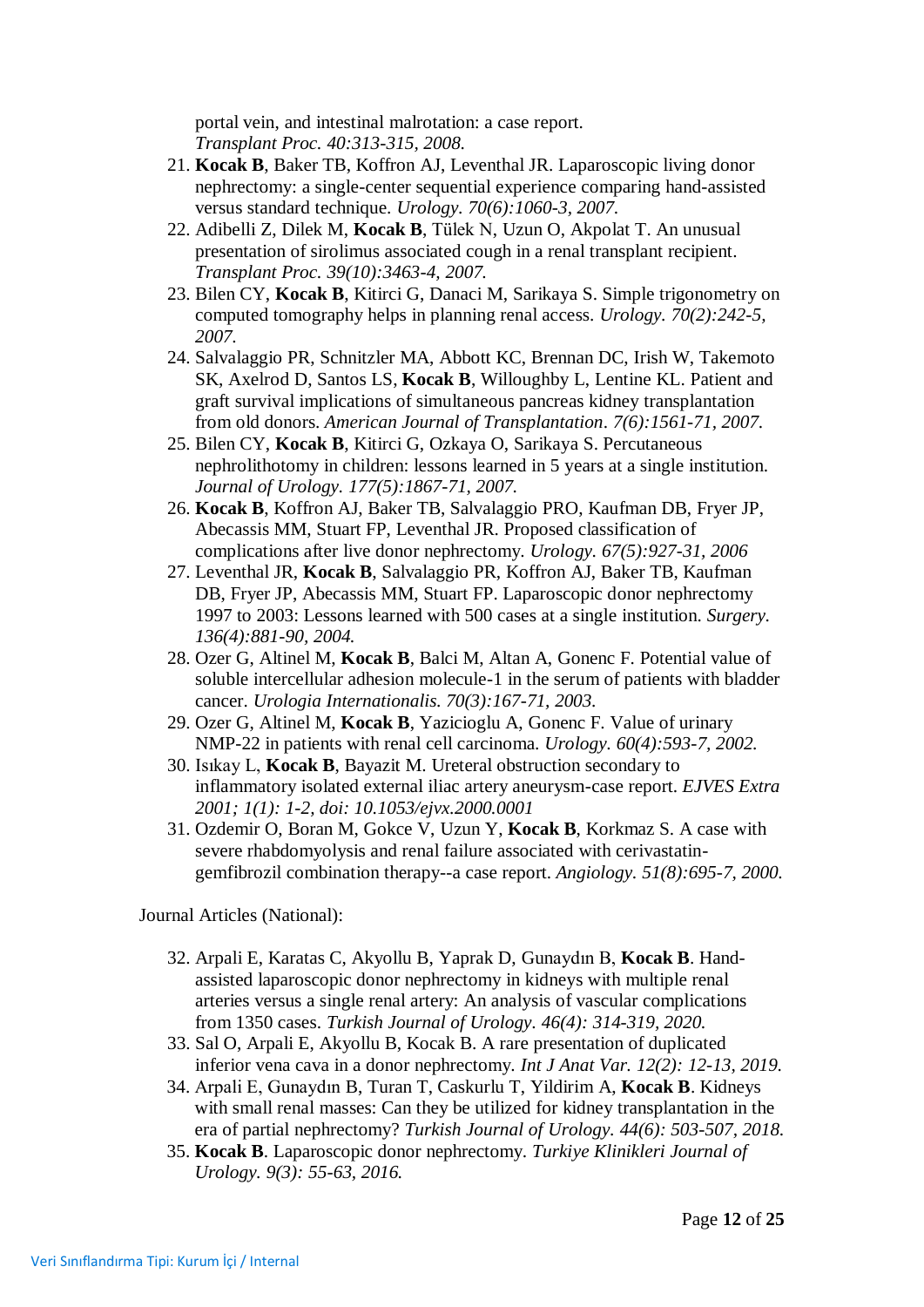portal vein, and intestinal malrotation: a case report. *[Transplant Proc.](javascript:AL_get(this,%20) 40:313-315, 2008.*

- 21. **[Kocak B](http://www.ncbi.nlm.nih.gov/sites/entrez?Db=pubmed&Cmd=Search&Term=%22Kocak%20B%22%5BAuthor%5D&itool=EntrezSystem2.PEntrez.Pubmed.Pubmed_ResultsPanel.Pubmed_RVAbstractPlus)**, [Baker TB,](http://www.ncbi.nlm.nih.gov/sites/entrez?Db=pubmed&Cmd=Search&Term=%22Baker%20TB%22%5BAuthor%5D&itool=EntrezSystem2.PEntrez.Pubmed.Pubmed_ResultsPanel.Pubmed_RVAbstractPlus) [Koffron AJ,](http://www.ncbi.nlm.nih.gov/sites/entrez?Db=pubmed&Cmd=Search&Term=%22Koffron%20AJ%22%5BAuthor%5D&itool=EntrezSystem2.PEntrez.Pubmed.Pubmed_ResultsPanel.Pubmed_RVAbstractPlus) [Leventhal JR.](http://www.ncbi.nlm.nih.gov/sites/entrez?Db=pubmed&Cmd=Search&Term=%22Leventhal%20JR%22%5BAuthor%5D&itool=EntrezSystem2.PEntrez.Pubmed.Pubmed_ResultsPanel.Pubmed_RVAbstractPlus) Laparoscopic living donor nephrectomy: a single-center sequential experience comparing hand-assisted versus standard technique. *Urology. 70(6):1060-3, 2007.*
- 22. [Adibelli Z,](http://www.ncbi.nlm.nih.gov/sites/entrez?Db=pubmed&Cmd=Search&Term=%22Adibelli%20Z%22%5BAuthor%5D&itool=EntrezSystem2.PEntrez.Pubmed.Pubmed_ResultsPanel.Pubmed_RVAbstractPlus) [Dilek M,](http://www.ncbi.nlm.nih.gov/sites/entrez?Db=pubmed&Cmd=Search&Term=%22Dilek%20M%22%5BAuthor%5D&itool=EntrezSystem2.PEntrez.Pubmed.Pubmed_ResultsPanel.Pubmed_RVAbstractPlus) **[Kocak B](http://www.ncbi.nlm.nih.gov/sites/entrez?Db=pubmed&Cmd=Search&Term=%22Kocak%20B%22%5BAuthor%5D&itool=EntrezSystem2.PEntrez.Pubmed.Pubmed_ResultsPanel.Pubmed_RVAbstractPlus)**, [Tülek N,](http://www.ncbi.nlm.nih.gov/sites/entrez?Db=pubmed&Cmd=Search&Term=%22T%C3%BClek%20N%22%5BAuthor%5D&itool=EntrezSystem2.PEntrez.Pubmed.Pubmed_ResultsPanel.Pubmed_RVAbstractPlus) [Uzun O,](http://www.ncbi.nlm.nih.gov/sites/entrez?Db=pubmed&Cmd=Search&Term=%22Uzun%20O%22%5BAuthor%5D&itool=EntrezSystem2.PEntrez.Pubmed.Pubmed_ResultsPanel.Pubmed_RVAbstractPlus) [Akpolat T.](http://www.ncbi.nlm.nih.gov/sites/entrez?Db=pubmed&Cmd=Search&Term=%22Akpolat%20T%22%5BAuthor%5D&itool=EntrezSystem2.PEntrez.Pubmed.Pubmed_ResultsPanel.Pubmed_RVAbstractPlus) An unusual presentation of sirolimus associated cough in a renal transplant recipient. *[Transplant Proc.](javascript:AL_get(this,%20) 39(10):3463-4, 2007.*
- 23. [Bilen CY,](http://www.ncbi.nlm.nih.gov/sites/entrez?Db=pubmed&Cmd=Search&Term=%22Bilen%20CY%22%5BAuthor%5D&itool=EntrezSystem2.PEntrez.Pubmed.Pubmed_ResultsPanel.Pubmed_RVAbstractPlus) **[Kocak B](http://www.ncbi.nlm.nih.gov/sites/entrez?Db=pubmed&Cmd=Search&Term=%22Ko%C3%A7ak%20B%22%5BAuthor%5D&itool=EntrezSystem2.PEntrez.Pubmed.Pubmed_ResultsPanel.Pubmed_RVAbstractPlus)**, [Kitirci G,](http://www.ncbi.nlm.nih.gov/sites/entrez?Db=pubmed&Cmd=Search&Term=%22Kitirci%20G%22%5BAuthor%5D&itool=EntrezSystem2.PEntrez.Pubmed.Pubmed_ResultsPanel.Pubmed_RVAbstractPlus) [Danaci M,](http://www.ncbi.nlm.nih.gov/sites/entrez?Db=pubmed&Cmd=Search&Term=%22Danaci%20M%22%5BAuthor%5D&itool=EntrezSystem2.PEntrez.Pubmed.Pubmed_ResultsPanel.Pubmed_RVAbstractPlus) [Sarikaya S.](http://www.ncbi.nlm.nih.gov/sites/entrez?Db=pubmed&Cmd=Search&Term=%22Sarikaya%20S%22%5BAuthor%5D&itool=EntrezSystem2.PEntrez.Pubmed.Pubmed_ResultsPanel.Pubmed_RVAbstractPlus) Simple trigonometry on computed tomography helps in planning renal access. *[Urology.](javascript:AL_get(this,%20) 70(2):242-5, 2007.*
- 24. [Salvalaggio PR,](http://www.ncbi.nlm.nih.gov/sites/entrez?Db=pubmed&Cmd=Search&Term=%22Salvalaggio%20PR%22%5BAuthor%5D&itool=EntrezSystem2.PEntrez.Pubmed.Pubmed_ResultsPanel.Pubmed_RVAbstractPlus) [Schnitzler MA,](http://www.ncbi.nlm.nih.gov/sites/entrez?Db=pubmed&Cmd=Search&Term=%22Schnitzler%20MA%22%5BAuthor%5D&itool=EntrezSystem2.PEntrez.Pubmed.Pubmed_ResultsPanel.Pubmed_RVAbstractPlus) [Abbott KC,](http://www.ncbi.nlm.nih.gov/sites/entrez?Db=pubmed&Cmd=Search&Term=%22Abbott%20KC%22%5BAuthor%5D&itool=EntrezSystem2.PEntrez.Pubmed.Pubmed_ResultsPanel.Pubmed_RVAbstractPlus) [Brennan DC,](http://www.ncbi.nlm.nih.gov/sites/entrez?Db=pubmed&Cmd=Search&Term=%22Brennan%20DC%22%5BAuthor%5D&itool=EntrezSystem2.PEntrez.Pubmed.Pubmed_ResultsPanel.Pubmed_RVAbstractPlus) [Irish W,](http://www.ncbi.nlm.nih.gov/sites/entrez?Db=pubmed&Cmd=Search&Term=%22Irish%20W%22%5BAuthor%5D&itool=EntrezSystem2.PEntrez.Pubmed.Pubmed_ResultsPanel.Pubmed_RVAbstractPlus) [Takemoto](http://www.ncbi.nlm.nih.gov/sites/entrez?Db=pubmed&Cmd=Search&Term=%22Takemoto%20SK%22%5BAuthor%5D&itool=EntrezSystem2.PEntrez.Pubmed.Pubmed_ResultsPanel.Pubmed_RVAbstractPlus)  [SK,](http://www.ncbi.nlm.nih.gov/sites/entrez?Db=pubmed&Cmd=Search&Term=%22Takemoto%20SK%22%5BAuthor%5D&itool=EntrezSystem2.PEntrez.Pubmed.Pubmed_ResultsPanel.Pubmed_RVAbstractPlus) [Axelrod D,](http://www.ncbi.nlm.nih.gov/sites/entrez?Db=pubmed&Cmd=Search&Term=%22Axelrod%20D%22%5BAuthor%5D&itool=EntrezSystem2.PEntrez.Pubmed.Pubmed_ResultsPanel.Pubmed_RVAbstractPlus) [Santos LS,](http://www.ncbi.nlm.nih.gov/sites/entrez?Db=pubmed&Cmd=Search&Term=%22Santos%20LS%22%5BAuthor%5D&itool=EntrezSystem2.PEntrez.Pubmed.Pubmed_ResultsPanel.Pubmed_RVAbstractPlus) **[Kocak B](http://www.ncbi.nlm.nih.gov/sites/entrez?Db=pubmed&Cmd=Search&Term=%22Kocak%20B%22%5BAuthor%5D&itool=EntrezSystem2.PEntrez.Pubmed.Pubmed_ResultsPanel.Pubmed_RVAbstractPlus)**, [Willoughby L,](http://www.ncbi.nlm.nih.gov/sites/entrez?Db=pubmed&Cmd=Search&Term=%22Willoughby%20L%22%5BAuthor%5D&itool=EntrezSystem2.PEntrez.Pubmed.Pubmed_ResultsPanel.Pubmed_RVAbstractPlus) [Lentine KL.](http://www.ncbi.nlm.nih.gov/sites/entrez?Db=pubmed&Cmd=Search&Term=%22Lentine%20KL%22%5BAuthor%5D&itool=EntrezSystem2.PEntrez.Pubmed.Pubmed_ResultsPanel.Pubmed_RVAbstractPlus) Patient and graft survival implications of simultaneous pancreas kidney transplantation from old donors. *American Journal of Transplantation*. *7(6):1561-71, 2007.*
- 25. Bilen CY, **Kocak B**, Kitirci G, Ozkaya O, Sarikaya S. Percutaneous nephrolithotomy in children: lessons learned in 5 years at a single institution. *Journal of Urology. 177(5):1867-71, 2007.*
- 26. **Kocak B**, Koffron AJ, Baker TB, Salvalaggio PRO, Kaufman DB, Fryer JP, Abecassis MM, Stuart FP, Leventhal JR. Proposed classification of complications after live donor nephrectomy. *Urology. 67(5):927-31, 2006*
- 27. Leventhal JR, **Kocak B**, Salvalaggio PR, Koffron AJ, Baker TB, Kaufman DB, Fryer JP, Abecassis MM, Stuart FP. Laparoscopic donor nephrectomy 1997 to 2003: Lessons learned with 500 cases at a single institution. *Surgery. 136(4):881-90, 2004.*
- 28. Ozer G, Altinel M, **Kocak B**, Balci M, Altan A, Gonenc F. Potential value of soluble intercellular adhesion molecule-1 in the serum of patients with bladder cancer. *Urologia Internationalis. 70(3):167-71, 2003.*
- 29. Ozer G, Altinel M, **Kocak B**, Yazicioglu A, Gonenc F. Value of urinary NMP-22 in patients with renal cell carcinoma. *Urology. 60(4):593-7, 2002.*
- 30. Isıkay L, **Kocak B**, Bayazit M. Ureteral obstruction secondary to inflammatory isolated external iliac artery aneurysm-case report. *EJVES Extra 2001; 1(1): 1-2, doi: 10.1053/ejvx.2000.0001*
- 31. Ozdemir O, Boran M, Gokce V, Uzun Y, **Kocak B**, Korkmaz S. A case with severe rhabdomyolysis and renal failure associated with cerivastatingemfibrozil combination therapy--a case report. *Angiology. 51(8):695-7, 2000.*

Journal Articles (National):

- 32. Arpali E, Karatas C, Akyollu B, Yaprak D, Gunaydın B, **Kocak B**. Handassisted laparoscopic donor nephrectomy in kidneys with multiple renal arteries versus a single renal artery: An analysis of vascular complications from 1350 cases. *Turkish Journal of Urology. 46(4): 314-319, 2020.*
- 33. Sal O, Arpali E, Akyollu B, Kocak B. A rare presentation of duplicated inferior vena cava in a donor nephrectomy. *Int J Anat Var. 12(2): 12-13, 2019.*
- 34. Arpali E, Gunaydın B, Turan T, Caskurlu T, Yildirim A, **Kocak B**. Kidneys with small renal masses: Can they be utilized for kidney transplantation in the era of partial nephrectomy? *Turkish Journal of Urology. 44(6): 503-507, 2018.*
- 35. **Kocak B**. Laparoscopic donor nephrectomy. *Turkiye Klinikleri Journal of Urology. 9(3): 55-63, 2016.*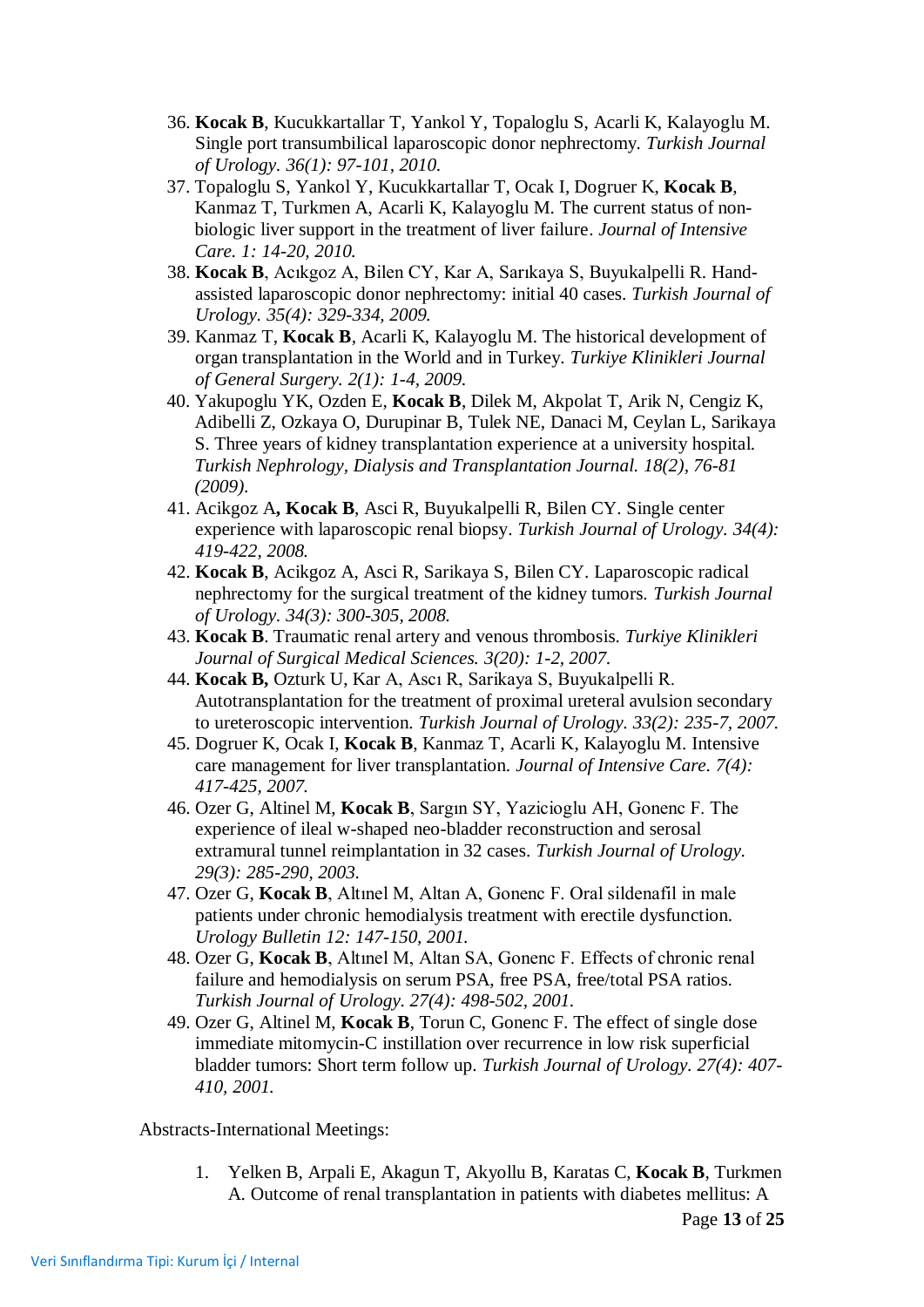- 36. **Kocak B**, Kucukkartallar T, Yankol Y, Topaloglu S, Acarli K, Kalayoglu M. Single port transumbilical laparoscopic donor nephrectomy. *Turkish Journal of Urology. 36(1): 97-101, 2010.*
- 37. Topaloglu S, Yankol Y, Kucukkartallar T, Ocak I, Dogruer K, **Kocak B**, Kanmaz T, Turkmen A, Acarli K, Kalayoglu M. The current status of nonbiologic liver support in the treatment of liver failure. *Journal of Intensive Care. 1: 14-20, 2010.*
- 38. **Kocak B**, Acıkgoz A, Bilen CY, Kar A, Sarıkaya S, Buyukalpelli R. Handassisted laparoscopic donor nephrectomy: initial 40 cases. *Turkish Journal of Urology. 35(4): 329-334, 2009.*
- 39. Kanmaz T, **Kocak B**, Acarli K, Kalayoglu M. The historical development of organ transplantation in the World and in Turkey. *Turkiye Klinikleri Journal of General Surgery. 2(1): 1-4, 2009.*
- 40. Yakupoglu YK, Ozden E, **Kocak B**, Dilek M, Akpolat T, Arik N, Cengiz K, Adibelli Z, Ozkaya O, Durupinar B, Tulek NE, Danaci M, Ceylan L, Sarikaya S. Three years of kidney transplantation experience at a university hospital. *Turkish Nephrology, Dialysis and Transplantation Journal. 18(2), 76-81 (2009).*
- 41. Acikgoz A**, Kocak B**, Asci R, Buyukalpelli R, Bilen CY. Single center experience with laparoscopic renal biopsy. *Turkish Journal of Urology. 34(4): 419-422, 2008.*
- 42. **Kocak B**, Acikgoz A, Asci R, Sarikaya S, Bilen CY. Laparoscopic radical nephrectomy for the surgical treatment of the kidney tumors. *Turkish Journal of Urology. 34(3): 300-305, 2008.*
- 43. **Kocak B**. Traumatic renal artery and venous thrombosis. *Turkiye Klinikleri Journal of Surgical Medical Sciences. 3(20): 1-2, 2007.*
- 44. **Kocak B,** Ozturk U, Kar A, Ascı R, Sarikaya S, Buyukalpelli R. Autotransplantation for the treatment of proximal ureteral avulsion secondary to ureteroscopic intervention. *Turkish Journal of Urology. 33(2): 235-7, 2007.*
- 45. Dogruer K, Ocak I, **Kocak B**, Kanmaz T, Acarli K, Kalayoglu M. Intensive care management for liver transplantation. *Journal of Intensive Care. 7(4): 417-425, 2007.*
- 46. Ozer G, Altinel M, **Kocak B**, Sargın SY, Yazicioglu AH, Gonenc F. The experience of ileal w-shaped neo-bladder reconstruction and serosal extramural tunnel reimplantation in 32 cases. *Turkish Journal of Urology. 29(3): 285-290, 2003.*
- 47. Ozer G, **Kocak B**, Altınel M, Altan A, Gonenc F. Oral sildenafil in male patients under chronic hemodialysis treatment with erectile dysfunction. *Urology Bulletin 12: 147-150, 2001.*
- 48. Ozer G, **Kocak B**, Altınel M, Altan SA, Gonenc F. Effects of chronic renal failure and hemodialysis on serum PSA, free PSA, free/total PSA ratios. *Turkish Journal of Urology. 27(4): 498-502, 2001.*
- 49. Ozer G, Altinel M, **Kocak B**, Torun C, Gonenc F. The effect of single dose immediate mitomycin-C instillation over recurrence in low risk superficial bladder tumors: Short term follow up. *Turkish Journal of Urology. 27(4): 407- 410, 2001.*

Abstracts-International Meetings:

1. Yelken B, Arpali E, Akagun T, Akyollu B, Karatas C, **Kocak B**, Turkmen A. Outcome of renal transplantation in patients with diabetes mellitus: A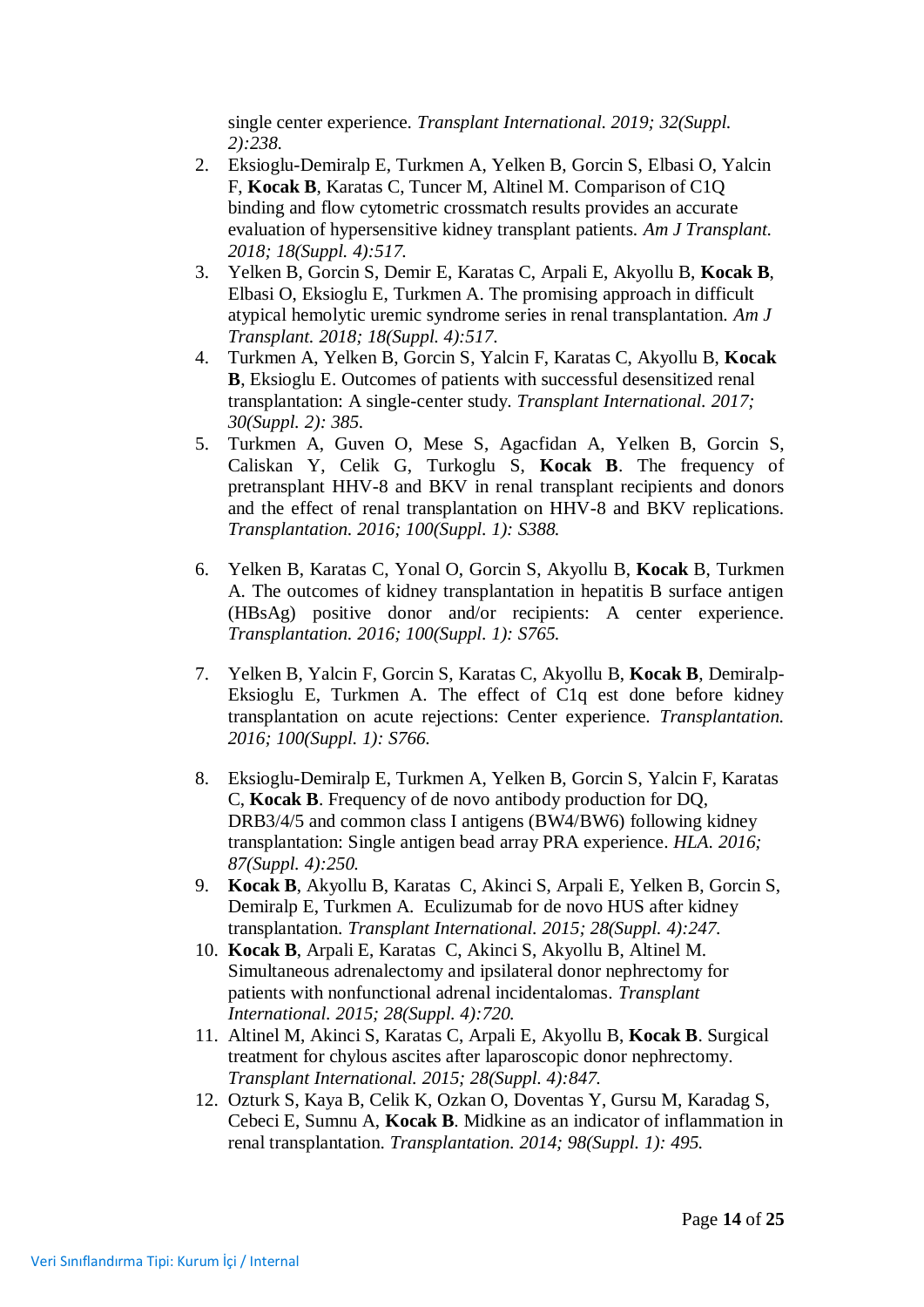single center experience. *Transplant International. 2019; 32(Suppl. 2):238.*

- 2. Eksioglu-Demiralp E, Turkmen A, Yelken B, Gorcin S, Elbasi O, Yalcin F, **Kocak B**, Karatas C, Tuncer M, Altinel M. Comparison of C1Q binding and flow cytometric crossmatch results provides an accurate evaluation of hypersensitive kidney transplant patients. *Am J Transplant. 2018; 18(Suppl. 4):517.*
- 3. Yelken B, Gorcin S, Demir E, Karatas C, Arpali E, Akyollu B, **Kocak B**, Elbasi O, Eksioglu E, Turkmen A. The promising approach in difficult atypical hemolytic uremic syndrome series in renal transplantation. *Am J Transplant. 2018; 18(Suppl. 4):517.*
- 4. Turkmen A, Yelken B, Gorcin S, Yalcin F, Karatas C, Akyollu B, **Kocak B**, Eksioglu E. Outcomes of patients with successful desensitized renal transplantation: A single-center study. *Transplant International. 2017; 30(Suppl. 2): 385.*
- 5. Turkmen A, Guven O, Mese S, Agacfidan A, Yelken B, Gorcin S, Caliskan Y, Celik G, Turkoglu S, **Kocak B**. The frequency of pretransplant HHV-8 and BKV in renal transplant recipients and donors and the effect of renal transplantation on HHV-8 and BKV replications. *Transplantation. 2016; 100(Suppl. 1): S388.*
- 6. Yelken B, Karatas C, Yonal O, Gorcin S, Akyollu B, **Kocak** B, Turkmen A. The outcomes of kidney transplantation in hepatitis B surface antigen (HBsAg) positive donor and/or recipients: A center experience. *Transplantation. 2016; 100(Suppl. 1): S765.*
- 7. Yelken B, Yalcin F, Gorcin S, Karatas C, Akyollu B, **Kocak B**, Demiralp-Eksioglu E, Turkmen A. The effect of C1q est done before kidney transplantation on acute rejections: Center experience. *Transplantation. 2016; 100(Suppl. 1): S766.*
- 8. Eksioglu-Demiralp E, Turkmen A, Yelken B, Gorcin S, Yalcin F, Karatas C, **Kocak B**. Frequency of de novo antibody production for DQ, DRB3/4/5 and common class I antigens (BW4/BW6) following kidney transplantation: Single antigen bead array PRA experience. *HLA. 2016; 87(Suppl. 4):250.*
- 9. **Kocak B**, Akyollu B, Karatas C, Akinci S, Arpali E, Yelken B, Gorcin S, Demiralp E, Turkmen A. Eculizumab for de novo HUS after kidney transplantation. *Transplant International. 2015; 28(Suppl. 4):247.*
- 10. **Kocak B**, Arpali E, Karatas C, Akinci S, Akyollu B, Altinel M. Simultaneous adrenalectomy and ipsilateral donor nephrectomy for patients with nonfunctional adrenal incidentalomas. *Transplant International. 2015; 28(Suppl. 4):720.*
- 11. Altinel M, Akinci S, Karatas C, Arpali E, Akyollu B, **Kocak B**. Surgical treatment for chylous ascites after laparoscopic donor nephrectomy. *Transplant International. 2015; 28(Suppl. 4):847.*
- 12. Ozturk S, Kaya B, Celik K, Ozkan O, Doventas Y, Gursu M, Karadag S, Cebeci E, Sumnu A, **Kocak B**. Midkine as an indicator of inflammation in renal transplantation. *Transplantation. 2014; 98(Suppl. 1): 495.*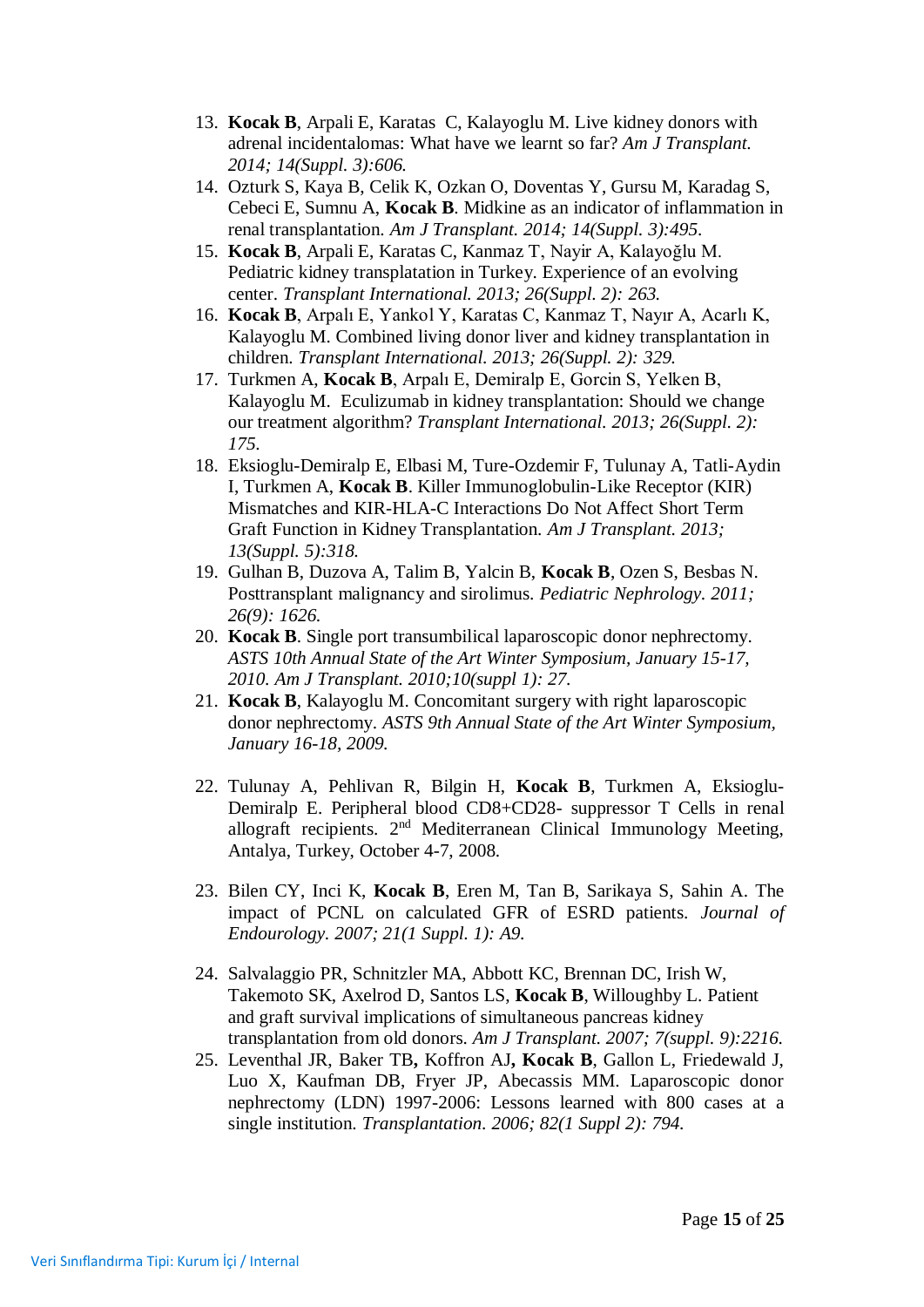- 13. **Kocak B**, Arpali E, Karatas C, Kalayoglu M. Live kidney donors with adrenal incidentalomas: What have we learnt so far? *Am J Transplant. 2014; 14(Suppl. 3):606.*
- 14. Ozturk S, Kaya B, Celik K, Ozkan O, Doventas Y, Gursu M, Karadag S, Cebeci E, Sumnu A, **Kocak B**. Midkine as an indicator of inflammation in renal transplantation. *Am J Transplant. 2014; 14(Suppl. 3):495.*
- 15. **Kocak B**, Arpali E, Karatas C, Kanmaz T, Nayir A, Kalayoğlu M. Pediatric kidney transplatation in Turkey. Experience of an evolving center. *Transplant International. 2013; 26(Suppl. 2): 263.*
- 16. **Kocak B**, Arpalı E, Yankol Y, Karatas C, Kanmaz T, Nayır A, Acarlı K, Kalayoglu M. Combined living donor liver and kidney transplantation in children. *Transplant International. 2013; 26(Suppl. 2): 329.*
- 17. Turkmen A, **Kocak B**, Arpalı E, Demiralp E, Gorcin S, Yelken B, Kalayoglu M. Eculizumab in kidney transplantation: Should we change our treatment algorithm? *Transplant International. 2013; 26(Suppl. 2): 175.*
- 18. Eksioglu-Demiralp E, Elbasi M, Ture-Ozdemir F, Tulunay A, Tatli-Aydin I, Turkmen A, **Kocak B**. Killer Immunoglobulin-Like Receptor (KIR) Mismatches and KIR-HLA-C Interactions Do Not Affect Short Term Graft Function in Kidney Transplantation. *Am J Transplant. 2013; 13(Suppl. 5):318.*
- 19. Gulhan B, Duzova A, Talim B, Yalcin B, **Kocak B**, Ozen S, Besbas N. Posttransplant malignancy and sirolimus. *Pediatric Nephrology. 2011; 26(9): 1626.*
- 20. **Kocak B**. Single port transumbilical laparoscopic donor nephrectomy. *ASTS 10th Annual State of the Art Winter Symposium, January 15-17, 2010. Am J Transplant. 2010;10(suppl 1): 27.*
- 21. **Kocak B**, Kalayoglu M. Concomitant surgery with right laparoscopic donor nephrectomy. *ASTS 9th Annual State of the Art Winter Symposium, January 16-18, 2009.*
- 22. Tulunay A, Pehlivan R, Bilgin H, **Kocak B**, Turkmen A, Eksioglu-Demiralp E. Peripheral blood CD8+CD28- suppressor T Cells in renal allograft recipients. 2<sup>nd</sup> Mediterranean Clinical Immunology Meeting, Antalya, Turkey, October 4-7, 2008.
- 23. Bilen CY, Inci K, **Kocak B**, Eren M, Tan B, Sarikaya S, Sahin A. The impact of PCNL on calculated GFR of ESRD patients. *Journal of Endourology. 2007; 21(1 Suppl. 1): A9.*
- 24. Salvalaggio PR, Schnitzler MA, Abbott KC, Brennan DC, Irish W, Takemoto SK, Axelrod D, Santos LS, **Kocak B**, Willoughby L. Patient and graft survival implications of simultaneous pancreas kidney transplantation from old donors. *Am J Transplant. 2007; 7(suppl. 9):2216.*
- 25. Leventhal JR, Baker TB**,** Koffron AJ**, Kocak B**, Gallon L, Friedewald J, Luo X, Kaufman DB, Fryer JP, Abecassis MM. Laparoscopic donor nephrectomy (LDN) 1997-2006: Lessons learned with 800 cases at a single institution. *Transplantation. 2006; 82(1 Suppl 2): 794.*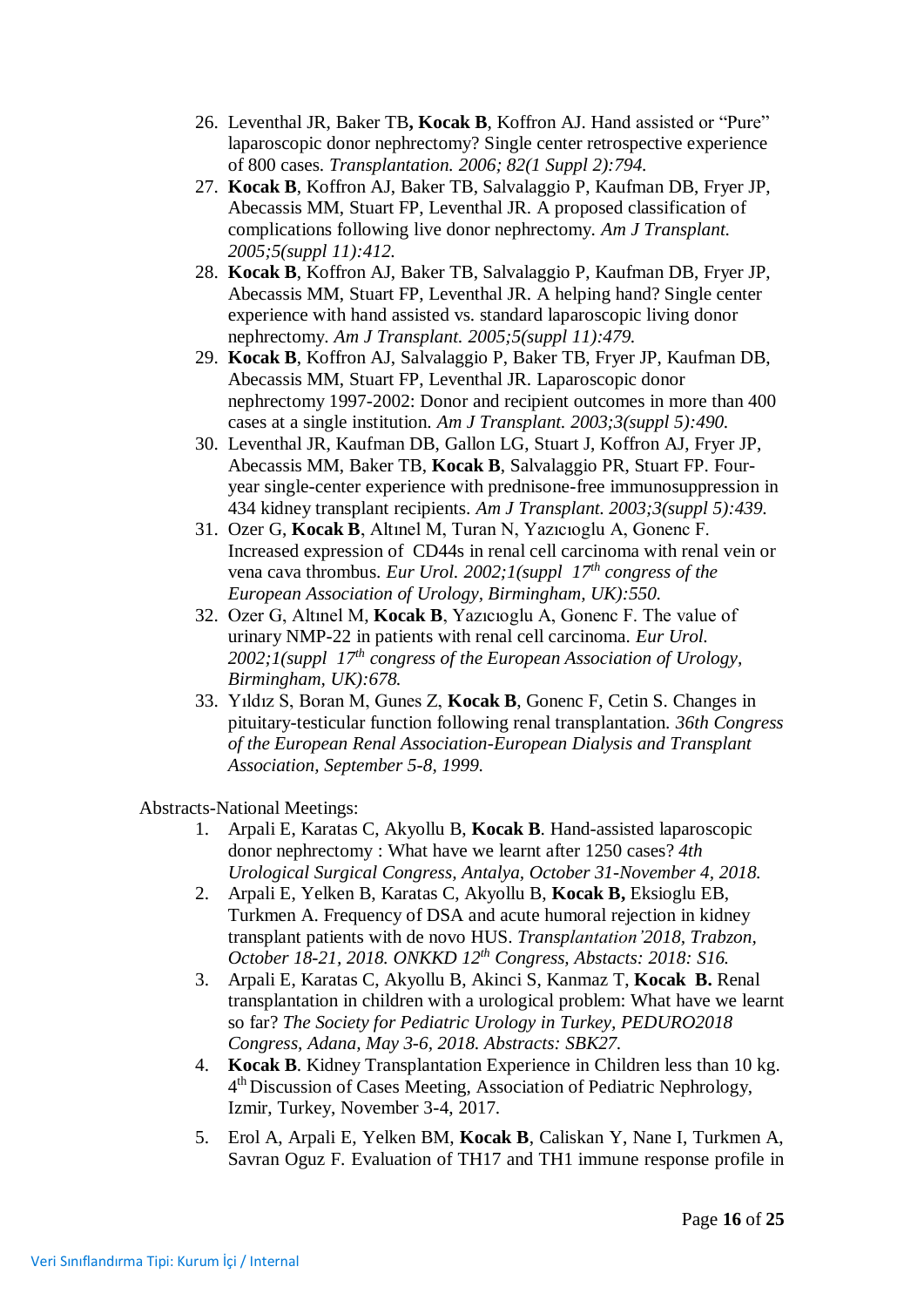- 26. Leventhal JR, Baker TB**, Kocak B**, Koffron AJ. Hand assisted or "Pure" laparoscopic donor nephrectomy? Single center retrospective experience of 800 cases. *Transplantation. 2006; 82(1 Suppl 2):794.*
- 27. **Kocak B**, Koffron AJ, Baker TB, Salvalaggio P, Kaufman DB, Fryer JP, Abecassis MM, Stuart FP, Leventhal JR. A proposed classification of complications following live donor nephrectomy. *Am J Transplant. 2005;5(suppl 11):412.*
- 28. **Kocak B**, Koffron AJ, Baker TB, Salvalaggio P, Kaufman DB, Fryer JP, Abecassis MM, Stuart FP, Leventhal JR. A helping hand? Single center experience with hand assisted vs. standard laparoscopic living donor nephrectomy. *Am J Transplant. 2005;5(suppl 11):479.*
- 29. **Kocak B**, Koffron AJ, Salvalaggio P, Baker TB, Fryer JP, Kaufman DB, Abecassis MM, Stuart FP, Leventhal JR. Laparoscopic donor nephrectomy 1997-2002: Donor and recipient outcomes in more than 400 cases at a single institution. *Am J Transplant. 2003;3(suppl 5):490.*
- 30. Leventhal JR, Kaufman DB, Gallon LG, Stuart J, Koffron AJ, Fryer JP, Abecassis MM, Baker TB, **Kocak B**, Salvalaggio PR, Stuart FP. Fouryear single-center experience with prednisone-free immunosuppression in 434 kidney transplant recipients. *Am J Transplant. 2003;3(suppl 5):439.*
- 31. Ozer G, **Kocak B**, Altınel M, Turan N, Yazıcıoglu A, Gonenc F. Increased expression of CD44s in renal cell carcinoma with renal vein or vena cava thrombus. *Eur Urol. 2002;1(suppl 17th congress of the European Association of Urology, Birmingham, UK):550.*
- 32. Ozer G, Altınel M, **Kocak B**, Yazıcıoglu A, Gonenc F. The value of urinary NMP-22 in patients with renal cell carcinoma. *Eur Urol. 2002;1(suppl 17th congress of the European Association of Urology, Birmingham, UK):678.*
- 33. Yıldız S, Boran M, Gunes Z, **Kocak B**, Gonenc F, Cetin S. Changes in pituitary-testicular function following renal transplantation. *36th Congress of the European Renal Association-European Dialysis and Transplant Association, September 5-8, 1999.*

Abstracts-National Meetings:

- 1. Arpali E, Karatas C, Akyollu B, **Kocak B**. Hand-assisted laparoscopic donor nephrectomy : What have we learnt after 1250 cases? *4th Urological Surgical Congress, Antalya, October 31-November 4, 2018.*
- 2. Arpali E, Yelken B, Karatas C, Akyollu B, **Kocak B,** Eksioglu EB, Turkmen A. Frequency of DSA and acute humoral rejection in kidney transplant patients with de novo HUS. *Transplantation'2018, Trabzon, October 18-21, 2018. ONKKD 12th Congress, Abstacts: 2018: S16.*
- 3. Arpali E, Karatas C, Akyollu B, Akinci S, Kanmaz T, **Kocak B.** Renal transplantation in children with a urological problem: What have we learnt so far? *The Society for Pediatric Urology in Turkey, PEDURO2018 Congress, Adana, May 3-6, 2018. Abstracts: SBK27.*
- 4. **Kocak B**. Kidney Transplantation Experience in Children less than 10 kg. 4<sup>th</sup> Discussion of Cases Meeting, Association of Pediatric Nephrology, Izmir, Turkey, November 3-4, 2017.
- 5. Erol A, Arpali E, Yelken BM, **Kocak B**, Caliskan Y, Nane I, Turkmen A, Savran Oguz F. Evaluation of TH17 and TH1 immune response profile in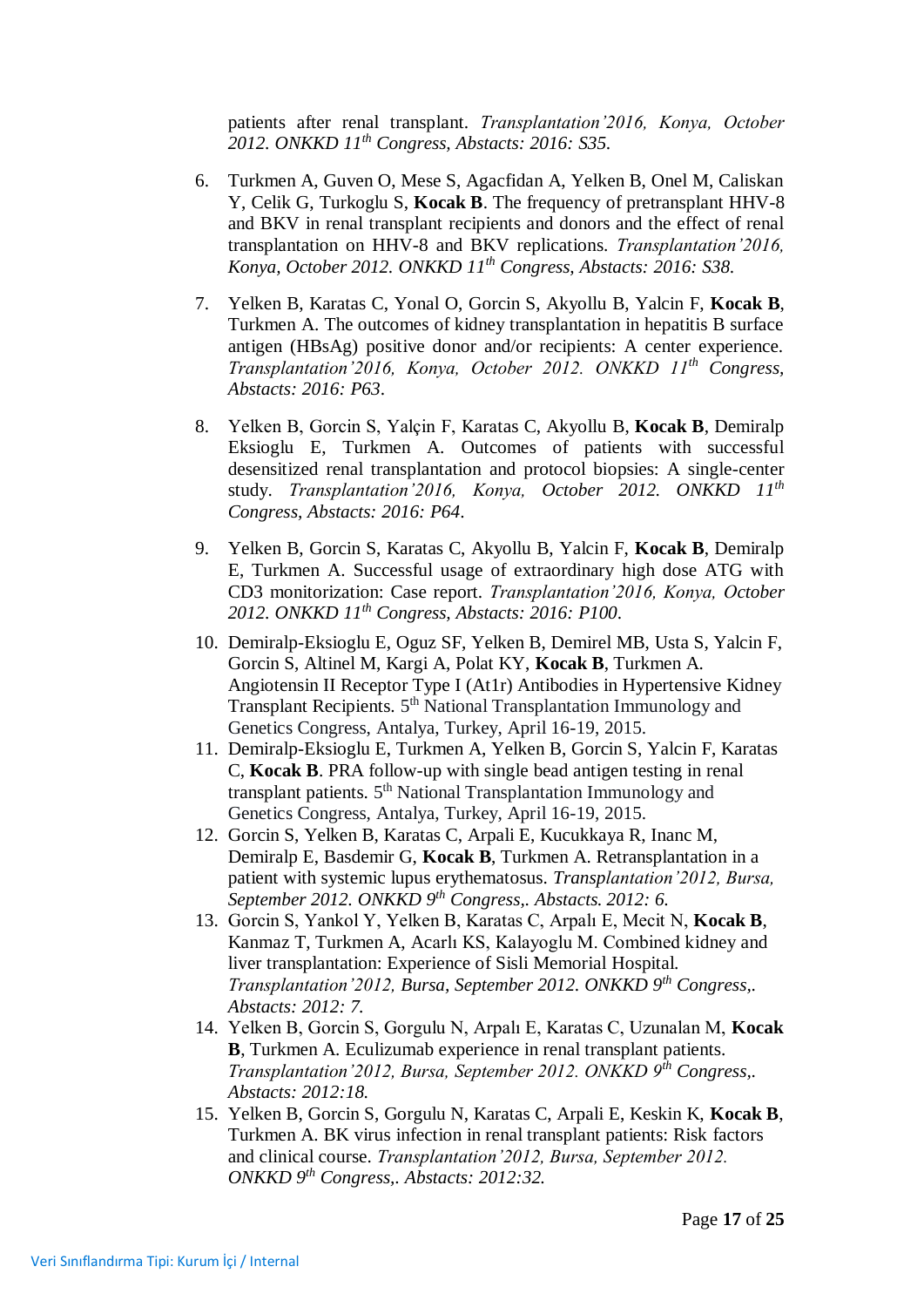patients after renal transplant. *Transplantation'2016, Konya, October 2012. ONKKD 11th Congress, Abstacts: 2016: S35*.

- 6. Turkmen A, Guven O, Mese S, Agacfidan A, Yelken B, Onel M, Caliskan Y, Celik G, Turkoglu S, **Kocak B**. The frequency of pretransplant HHV-8 and BKV in renal transplant recipients and donors and the effect of renal transplantation on HHV-8 and BKV replications. *Transplantation'2016, Konya, October 2012. ONKKD 11th Congress, Abstacts: 2016: S38*.
- 7. Yelken B, Karatas C, Yonal O, Gorcin S, Akyollu B, Yalcin F, **Kocak B**, Turkmen A. The outcomes of kidney transplantation in hepatitis B surface antigen (HBsAg) positive donor and/or recipients: A center experience. *Transplantation'2016, Konya, October 2012. ONKKD 11th Congress, Abstacts: 2016: P63*.
- 8. Yelken B, Gorcin S, Yalçin F, Karatas C, Akyollu B, **Kocak B**, Demiralp Eksioglu E, Turkmen A. Outcomes of patients with successful desensitized renal transplantation and protocol biopsies: A single-center study. *Transplantation'2016, Konya, October 2012. ONKKD 11th Congress, Abstacts: 2016: P64*.
- 9. Yelken B, Gorcin S, Karatas C, Akyollu B, Yalcin F, **Kocak B**, Demiralp E, Turkmen A. Successful usage of extraordinary high dose ATG with CD3 monitorization: Case report. *Transplantation'2016, Konya, October 2012. ONKKD 11th Congress, Abstacts: 2016: P100*.
- 10. Demiralp-Eksioglu E, Oguz SF, Yelken B, Demirel MB, Usta S, Yalcin F, Gorcin S, Altinel M, Kargi A, Polat KY, **Kocak B**, Turkmen A. Angiotensin II Receptor Type I (At1r) Antibodies in Hypertensive Kidney Transplant Recipients. 5<sup>th</sup> National Transplantation Immunology and Genetics Congress, Antalya, Turkey, April 16-19, 2015.
- 11. Demiralp-Eksioglu E, Turkmen A, Yelken B, Gorcin S, Yalcin F, Karatas C, **Kocak B**. PRA follow-up with single bead antigen testing in renal transplant patients. 5<sup>th</sup> National Transplantation Immunology and Genetics Congress, Antalya, Turkey, April 16-19, 2015.
- 12. Gorcin S, Yelken B, Karatas C, Arpali E, Kucukkaya R, Inanc M, Demiralp E, Basdemir G, **Kocak B**, Turkmen A. Retransplantation in a patient with systemic lupus erythematosus. *Transplantation'2012, Bursa, September 2012. ONKKD 9th Congress,. Abstacts. 2012: 6.*
- 13. Gorcin S, Yankol Y, Yelken B, Karatas C, Arpalı E, Mecit N, **Kocak B**, Kanmaz T, Turkmen A, Acarlı KS, Kalayoglu M. Combined kidney and liver transplantation: Experience of Sisli Memorial Hospital. *Transplantation'2012, Bursa, September 2012. ONKKD 9th Congress,. Abstacts: 2012: 7.*
- 14. Yelken B, Gorcin S, Gorgulu N, Arpalı E, Karatas C, Uzunalan M, **Kocak B**, Turkmen A. Eculizumab experience in renal transplant patients. *Transplantation'2012, Bursa, September 2012. ONKKD 9th Congress,. Abstacts: 2012:18.*
- 15. Yelken B, Gorcin S, Gorgulu N, Karatas C, Arpali E, Keskin K, **Kocak B**, Turkmen A. BK virus infection in renal transplant patients: Risk factors and clinical course. *Transplantation'2012, Bursa, September 2012. ONKKD 9th Congress,. Abstacts: 2012:32.*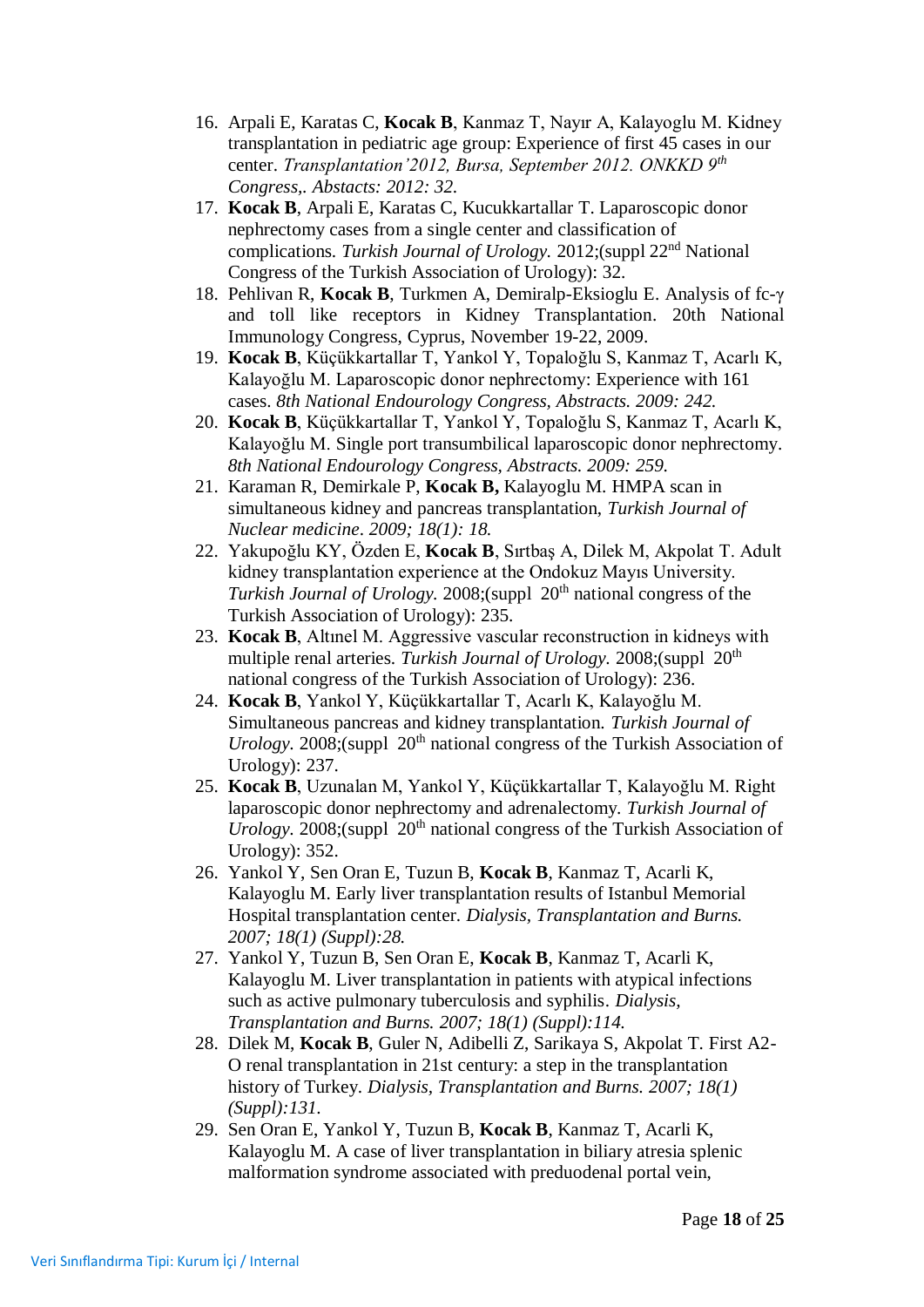- 16. Arpali E, Karatas C, **Kocak B**, Kanmaz T, Nayır A, Kalayoglu M. Kidney transplantation in pediatric age group: Experience of first 45 cases in our center. *Transplantation'2012, Bursa, September 2012. ONKKD 9th Congress,. Abstacts: 2012: 32.*
- 17. **Kocak B**, Arpali E, Karatas C, Kucukkartallar T. Laparoscopic donor nephrectomy cases from a single center and classification of complications. *Turkish Journal of Urology.* 2012;(suppl 22nd National Congress of the Turkish Association of Urology): 32.
- 18. Pehlivan R, **Kocak B**, Turkmen A, Demiralp-Eksioglu E. Analysis of fc-γ and toll like receptors in Kidney Transplantation. 20th National Immunology Congress, Cyprus, November 19-22, 2009.
- 19. **Kocak B**, Küçükkartallar T, Yankol Y, Topaloğlu S, Kanmaz T, Acarlı K, Kalayoğlu M. Laparoscopic donor nephrectomy: Experience with 161 cases. *8th National Endourology Congress, Abstracts. 2009: 242.*
- 20. **Kocak B**, Küçükkartallar T, Yankol Y, Topaloğlu S, Kanmaz T, Acarlı K, Kalayoğlu M. Single port transumbilical laparoscopic donor nephrectomy. *8th National Endourology Congress, Abstracts. 2009: 259.*
- 21. Karaman R, Demirkale P, **Kocak B,** Kalayoglu M. HMPA scan in simultaneous kidney and pancreas transplantation, *Turkish Journal of Nuclear medicine*. *2009; 18(1): 18.*
- 22. Yakupoğlu KY, Özden E, **Kocak B**, Sırtbaş A, Dilek M, Akpolat T. Adult kidney transplantation experience at the Ondokuz Mayıs University. *Turkish Journal of Urology.* 2008;(suppl 20<sup>th</sup> national congress of the Turkish Association of Urology): 235.
- 23. **Kocak B**, Altınel M. Aggressive vascular reconstruction in kidneys with multiple renal arteries. *Turkish Journal of Urology*. 2008;(suppl 20<sup>th</sup>) national congress of the Turkish Association of Urology): 236.
- 24. **Kocak B**, Yankol Y, Küçükkartallar T, Acarlı K, Kalayoğlu M. Simultaneous pancreas and kidney transplantation. *Turkish Journal of Urology.* 2008;(suppl  $20<sup>th</sup>$  national congress of the Turkish Association of Urology): 237.
- 25. **Kocak B**, Uzunalan M, Yankol Y, Küçükkartallar T, Kalayoğlu M. Right laparoscopic donor nephrectomy and adrenalectomy. *Turkish Journal of Urology.* 2008;(suppl 20<sup>th</sup> national congress of the Turkish Association of Urology): 352.
- 26. Yankol Y, Sen Oran E, Tuzun B, **Kocak B**, Kanmaz T, Acarli K, Kalayoglu M. Early liver transplantation results of Istanbul Memorial Hospital transplantation center. *Dialysis, Transplantation and Burns. 2007; 18(1) (Suppl):28.*
- 27. Yankol Y, Tuzun B, Sen Oran E, **Kocak B**, Kanmaz T, Acarli K, Kalayoglu M. Liver transplantation in patients with atypical infections such as active pulmonary tuberculosis and syphilis. *Dialysis, Transplantation and Burns. 2007; 18(1) (Suppl):114.*
- 28. Dilek M, **Kocak B**, Guler N, Adibelli Z, Sarikaya S, Akpolat T. First A2- O renal transplantation in 21st century: a step in the transplantation history of Turkey. *Dialysis, Transplantation and Burns. 2007; 18(1) (Suppl):131.*
- 29. Sen Oran E, Yankol Y, Tuzun B, **Kocak B**, Kanmaz T, Acarli K, Kalayoglu M. A case of liver transplantation in biliary atresia splenic malformation syndrome associated with preduodenal portal vein,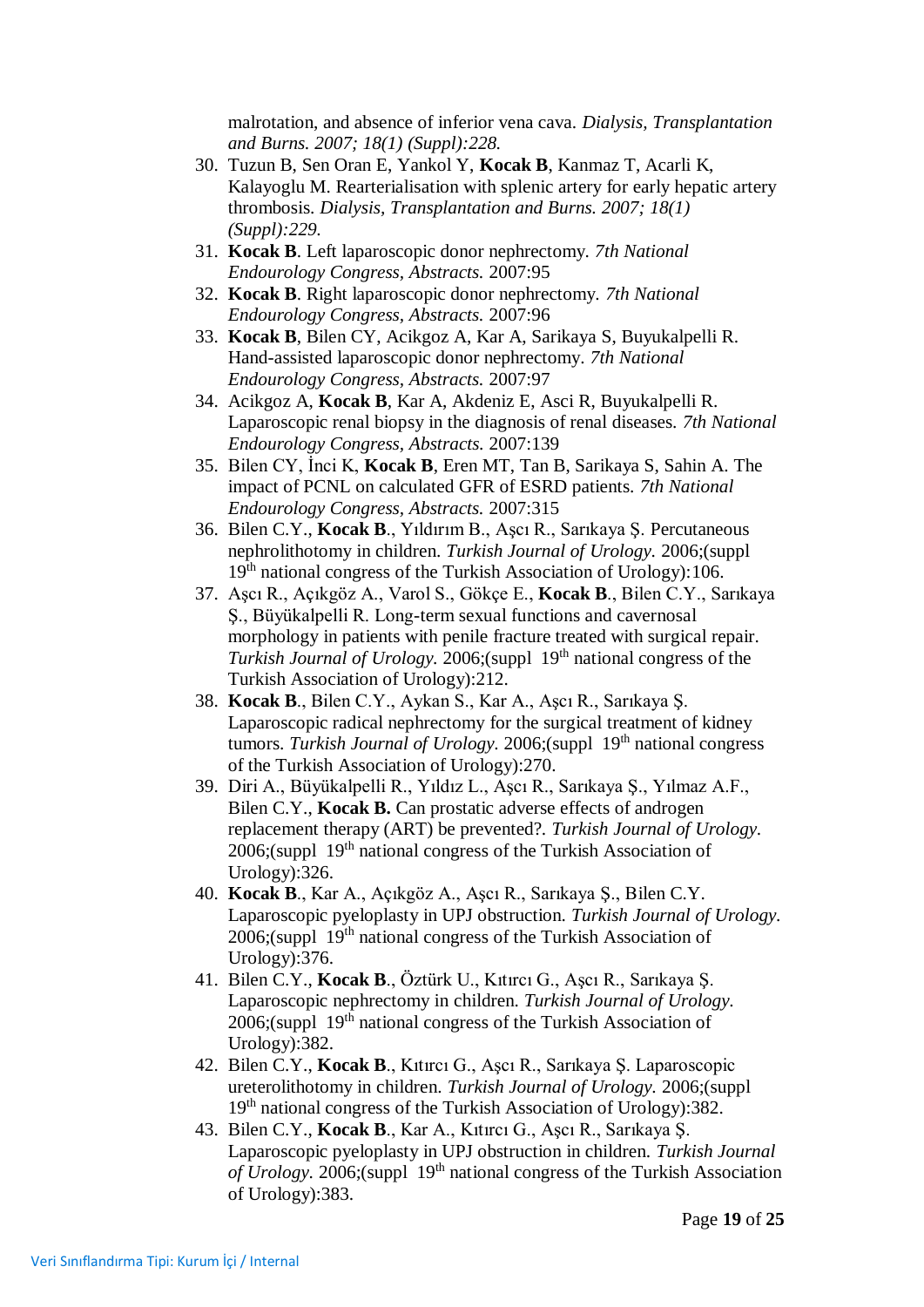malrotation, and absence of inferior vena cava. *Dialysis, Transplantation and Burns. 2007; 18(1) (Suppl):228.*

- 30. Tuzun B, Sen Oran E, Yankol Y, **Kocak B**, Kanmaz T, Acarli K, Kalayoglu M. Rearterialisation with splenic artery for early hepatic artery thrombosis. *Dialysis, Transplantation and Burns. 2007; 18(1) (Suppl):229.*
- 31. **Kocak B**. Left laparoscopic donor nephrectomy. *7th National Endourology Congress, Abstracts.* 2007:95
- 32. **Kocak B**. Right laparoscopic donor nephrectomy. *7th National Endourology Congress, Abstracts.* 2007:96
- 33. **Kocak B**, Bilen CY, Acikgoz A, Kar A, Sarikaya S, Buyukalpelli R. Hand-assisted laparoscopic donor nephrectomy. *7th National Endourology Congress, Abstracts.* 2007:97
- 34. Acikgoz A, **Kocak B**, Kar A, Akdeniz E, Asci R, Buyukalpelli R. Laparoscopic renal biopsy in the diagnosis of renal diseases. *7th National Endourology Congress, Abstracts.* 2007:139
- 35. Bilen CY, İnci K, **Kocak B**, Eren MT, Tan B, Sarikaya S, Sahin A. The impact of PCNL on calculated GFR of ESRD patients. *7th National Endourology Congress, Abstracts.* 2007:315
- 36. Bilen C.Y., **Kocak B**., Yıldırım B., Aşcı R., Sarıkaya Ş. Percutaneous nephrolithotomy in children. *Turkish Journal of Urology.* 2006;(suppl 19th national congress of the Turkish Association of Urology):106.
- 37. Aşcı R., Açıkgöz A., Varol S., Gökçe E., **Kocak B**., Bilen C.Y., Sarıkaya Ş., Büyükalpelli R. Long-term sexual functions and cavernosal morphology in patients with penile fracture treated with surgical repair. *Turkish Journal of Urology.* 2006;(suppl 19<sup>th</sup> national congress of the Turkish Association of Urology):212.
- 38. **Kocak B**., Bilen C.Y., Aykan S., Kar A., Aşcı R., Sarıkaya Ş. Laparoscopic radical nephrectomy for the surgical treatment of kidney tumors. *Turkish Journal of Urology.* 2006;(suppl 19<sup>th</sup> national congress of the Turkish Association of Urology):270.
- 39. Diri A., Büyükalpelli R., Yıldız L., Aşcı R., Sarıkaya Ş., Yılmaz A.F., Bilen C.Y., **Kocak B.** Can prostatic adverse effects of androgen replacement therapy (ART) be prevented?. *Turkish Journal of Urology.*  2006;(suppl 19th national congress of the Turkish Association of Urology):326.
- 40. **Kocak B**., Kar A., Açıkgöz A., Aşcı R., Sarıkaya Ş., Bilen C.Y. Laparoscopic pyeloplasty in UPJ obstruction. *Turkish Journal of Urology.*  2006;(suppl 19th national congress of the Turkish Association of Urology):376.
- 41. Bilen C.Y., **Kocak B**., Öztürk U., Kıtırcı G., Aşcı R., Sarıkaya Ş. Laparoscopic nephrectomy in children. *Turkish Journal of Urology.*   $2006$ ;(suppl  $19<sup>th</sup>$  national congress of the Turkish Association of Urology):382.
- 42. Bilen C.Y., **Kocak B**., Kıtırcı G., Aşcı R., Sarıkaya Ş. Laparoscopic ureterolithotomy in children. *Turkish Journal of Urology.* 2006;(suppl 19th national congress of the Turkish Association of Urology):382.
- 43. Bilen C.Y., **Kocak B**., Kar A., Kıtırcı G., Aşcı R., Sarıkaya Ş. Laparoscopic pyeloplasty in UPJ obstruction in children. *Turkish Journal of Urology.* 2006;(suppl 19th national congress of the Turkish Association of Urology):383.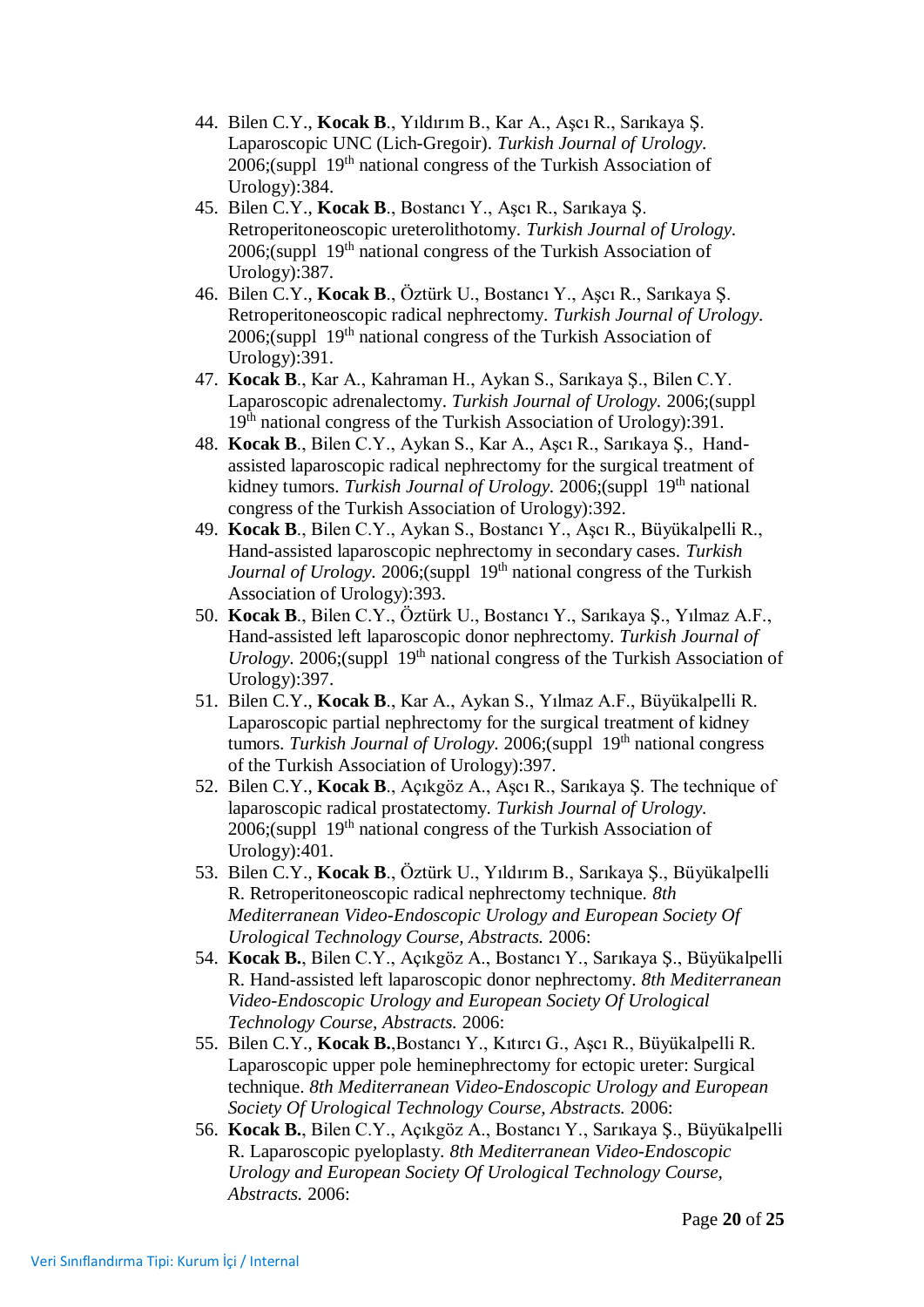- 44. Bilen C.Y., **Kocak B**., Yıldırım B., Kar A., Aşcı R., Sarıkaya Ş. Laparoscopic UNC (Lich-Gregoir). *Turkish Journal of Urology.*  2006;(suppl 19<sup>th</sup> national congress of the Turkish Association of Urology):384.
- 45. Bilen C.Y., **Kocak B**., Bostancı Y., Aşcı R., Sarıkaya Ş. Retroperitoneoscopic ureterolithotomy. *Turkish Journal of Urology.*   $2006$ ;(suppl  $19<sup>th</sup>$  national congress of the Turkish Association of Urology):387.
- 46. Bilen C.Y., **Kocak B**., Öztürk U., Bostancı Y., Aşcı R., Sarıkaya Ş. Retroperitoneoscopic radical nephrectomy. *Turkish Journal of Urology.*   $2006$ ;(suppl  $19<sup>th</sup>$  national congress of the Turkish Association of Urology):391.
- 47. **Kocak B**., Kar A., Kahraman H., Aykan S., Sarıkaya Ş., Bilen C.Y. Laparoscopic adrenalectomy. *Turkish Journal of Urology.* 2006;(suppl 19th national congress of the Turkish Association of Urology):391.
- 48. **Kocak B**., Bilen C.Y., Aykan S., Kar A., Aşcı R., Sarıkaya Ş., Handassisted laparoscopic radical nephrectomy for the surgical treatment of kidney tumors. *Turkish Journal of Urology*. 2006;(suppl 19<sup>th</sup> national congress of the Turkish Association of Urology):392.
- 49. **Kocak B**., Bilen C.Y., Aykan S., Bostancı Y., Aşcı R., Büyükalpelli R., Hand-assisted laparoscopic nephrectomy in secondary cases. *Turkish Journal of Urology.* 2006;(suppl 19<sup>th</sup> national congress of the Turkish Association of Urology):393.
- 50. **Kocak B**., Bilen C.Y., Öztürk U., Bostancı Y., Sarıkaya Ş., Yılmaz A.F., Hand-assisted left laparoscopic donor nephrectomy. *Turkish Journal of Urology.* 2006;(suppl 19<sup>th</sup> national congress of the Turkish Association of Urology):397.
- 51. Bilen C.Y., **Kocak B**., Kar A., Aykan S., Yılmaz A.F., Büyükalpelli R. Laparoscopic partial nephrectomy for the surgical treatment of kidney tumors. *Turkish Journal of Urology*. 2006;(suppl 19<sup>th</sup> national congress of the Turkish Association of Urology):397.
- 52. Bilen C.Y., **Kocak B**., Açıkgöz A., Aşcı R., Sarıkaya Ş. The technique of laparoscopic radical prostatectomy. *Turkish Journal of Urology.*   $2006$ ;(suppl  $19<sup>th</sup>$  national congress of the Turkish Association of Urology):401.
- 53. Bilen C.Y., **Kocak B**., Öztürk U., Yıldırım B., Sarıkaya Ş., Büyükalpelli R. Retroperitoneoscopic radical nephrectomy technique. *8th Mediterranean Video-Endoscopic Urology and European Society Of Urological Technology Course, Abstracts.* 2006:
- 54. **Kocak B.**, Bilen C.Y., Açıkgöz A., Bostancı Y., Sarıkaya Ş., Büyükalpelli R. Hand-assisted left laparoscopic donor nephrectomy. *8th Mediterranean Video-Endoscopic Urology and European Society Of Urological Technology Course, Abstracts.* 2006:
- 55. Bilen C.Y., **Kocak B.**,Bostancı Y., Kıtırcı G., Aşcı R., Büyükalpelli R. Laparoscopic upper pole heminephrectomy for ectopic ureter: Surgical technique. *8th Mediterranean Video-Endoscopic Urology and European Society Of Urological Technology Course, Abstracts.* 2006:
- 56. **Kocak B.**, Bilen C.Y., Açıkgöz A., Bostancı Y., Sarıkaya Ş., Büyükalpelli R. Laparoscopic pyeloplasty. *8th Mediterranean Video-Endoscopic Urology and European Society Of Urological Technology Course, Abstracts.* 2006: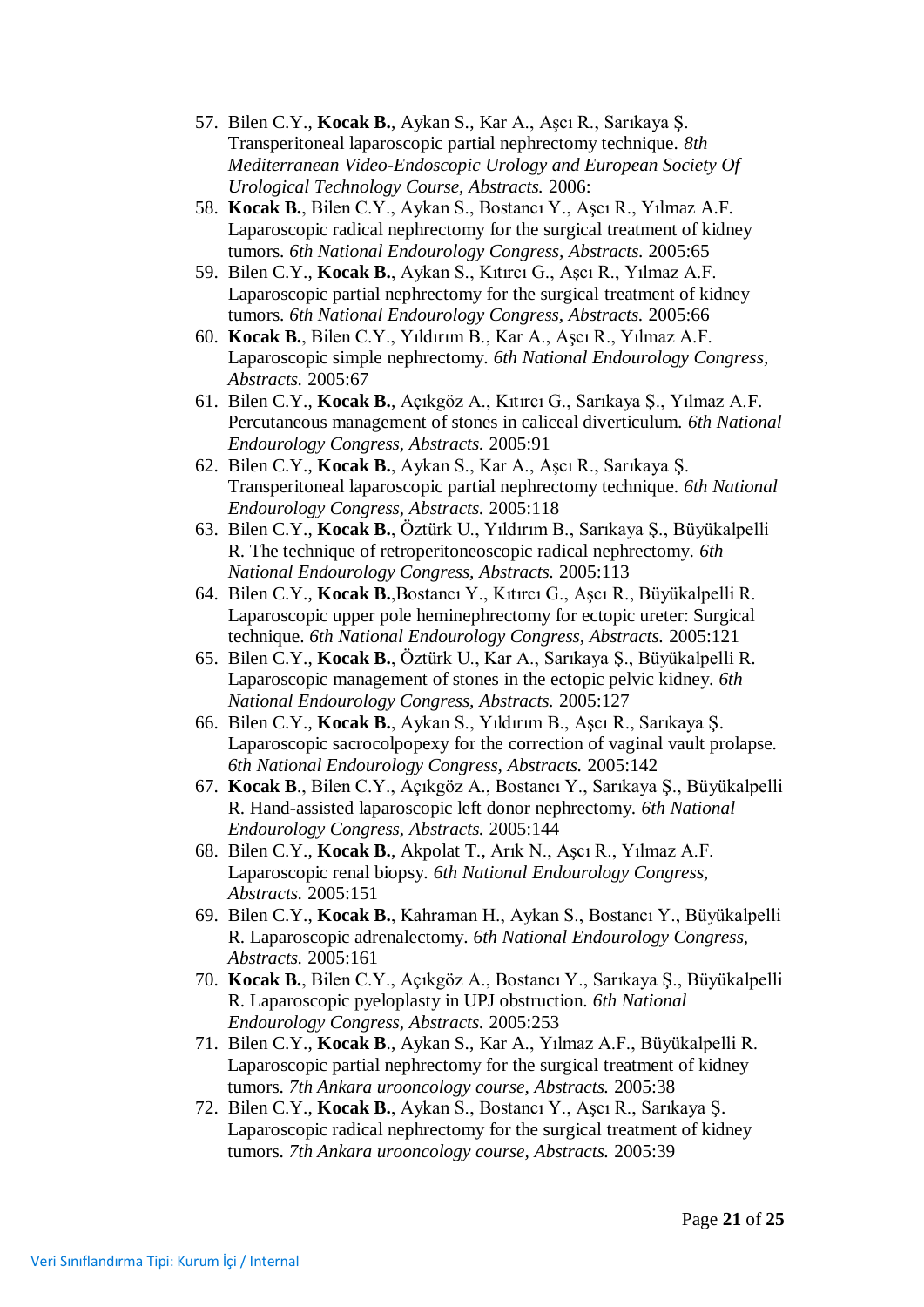- 57. Bilen C.Y., **Kocak B.**, Aykan S., Kar A., Aşcı R., Sarıkaya Ş. Transperitoneal laparoscopic partial nephrectomy technique. *8th Mediterranean Video-Endoscopic Urology and European Society Of Urological Technology Course, Abstracts.* 2006:
- 58. **Kocak B.**, Bilen C.Y., Aykan S., Bostancı Y., Aşcı R., Yılmaz A.F. Laparoscopic radical nephrectomy for the surgical treatment of kidney tumors. *6th National Endourology Congress, Abstracts.* 2005:65
- 59. Bilen C.Y., **Kocak B.**, Aykan S., Kıtırcı G., Aşcı R., Yılmaz A.F. Laparoscopic partial nephrectomy for the surgical treatment of kidney tumors. *6th National Endourology Congress, Abstracts.* 2005:66
- 60. **Kocak B.**, Bilen C.Y., Yıldırım B., Kar A., Aşcı R., Yılmaz A.F. Laparoscopic simple nephrectomy. *6th National Endourology Congress, Abstracts.* 2005:67
- 61. Bilen C.Y., **Kocak B.**, Açıkgöz A., Kıtırcı G., Sarıkaya Ş., Yılmaz A.F. Percutaneous management of stones in caliceal diverticulum. *6th National Endourology Congress, Abstracts.* 2005:91
- 62. Bilen C.Y., **Kocak B.**, Aykan S., Kar A., Aşcı R., Sarıkaya Ş. Transperitoneal laparoscopic partial nephrectomy technique. *6th National Endourology Congress, Abstracts.* 2005:118
- 63. Bilen C.Y., **Kocak B.**, Öztürk U., Yıldırım B., Sarıkaya Ş., Büyükalpelli R. The technique of retroperitoneoscopic radical nephrectomy. *6th National Endourology Congress, Abstracts.* 2005:113
- 64. Bilen C.Y., **Kocak B.**,Bostancı Y., Kıtırcı G., Aşcı R., Büyükalpelli R. Laparoscopic upper pole heminephrectomy for ectopic ureter: Surgical technique. *6th National Endourology Congress, Abstracts.* 2005:121
- 65. Bilen C.Y., **Kocak B.**, Öztürk U., Kar A., Sarıkaya Ş., Büyükalpelli R. Laparoscopic management of stones in the ectopic pelvic kidney. *6th National Endourology Congress, Abstracts.* 2005:127
- 66. Bilen C.Y., **Kocak B.**, Aykan S., Yıldırım B., Aşcı R., Sarıkaya Ş. Laparoscopic sacrocolpopexy for the correction of vaginal vault prolapse. *6th National Endourology Congress, Abstracts.* 2005:142
- 67. **Kocak B**., Bilen C.Y., Açıkgöz A., Bostancı Y., Sarıkaya Ş., Büyükalpelli R. Hand-assisted laparoscopic left donor nephrectomy. *6th National Endourology Congress, Abstracts.* 2005:144
- 68. Bilen C.Y., **Kocak B.**, Akpolat T., Arık N., Aşcı R., Yılmaz A.F. Laparoscopic renal biopsy. *6th National Endourology Congress, Abstracts.* 2005:151
- 69. Bilen C.Y., **Kocak B.**, Kahraman H., Aykan S., Bostancı Y., Büyükalpelli R. Laparoscopic adrenalectomy. *6th National Endourology Congress, Abstracts.* 2005:161
- 70. **Kocak B.**, Bilen C.Y., Açıkgöz A., Bostancı Y., Sarıkaya Ş., Büyükalpelli R. Laparoscopic pyeloplasty in UPJ obstruction. *6th National Endourology Congress, Abstracts.* 2005:253
- 71. Bilen C.Y., **Kocak B**., Aykan S., Kar A., Yılmaz A.F., Büyükalpelli R. Laparoscopic partial nephrectomy for the surgical treatment of kidney tumors. *7th Ankara urooncology course, Abstracts.* 2005:38
- 72. Bilen C.Y., **Kocak B.**, Aykan S., Bostancı Y., Aşcı R., Sarıkaya Ş. Laparoscopic radical nephrectomy for the surgical treatment of kidney tumors. *7th Ankara urooncology course, Abstracts.* 2005:39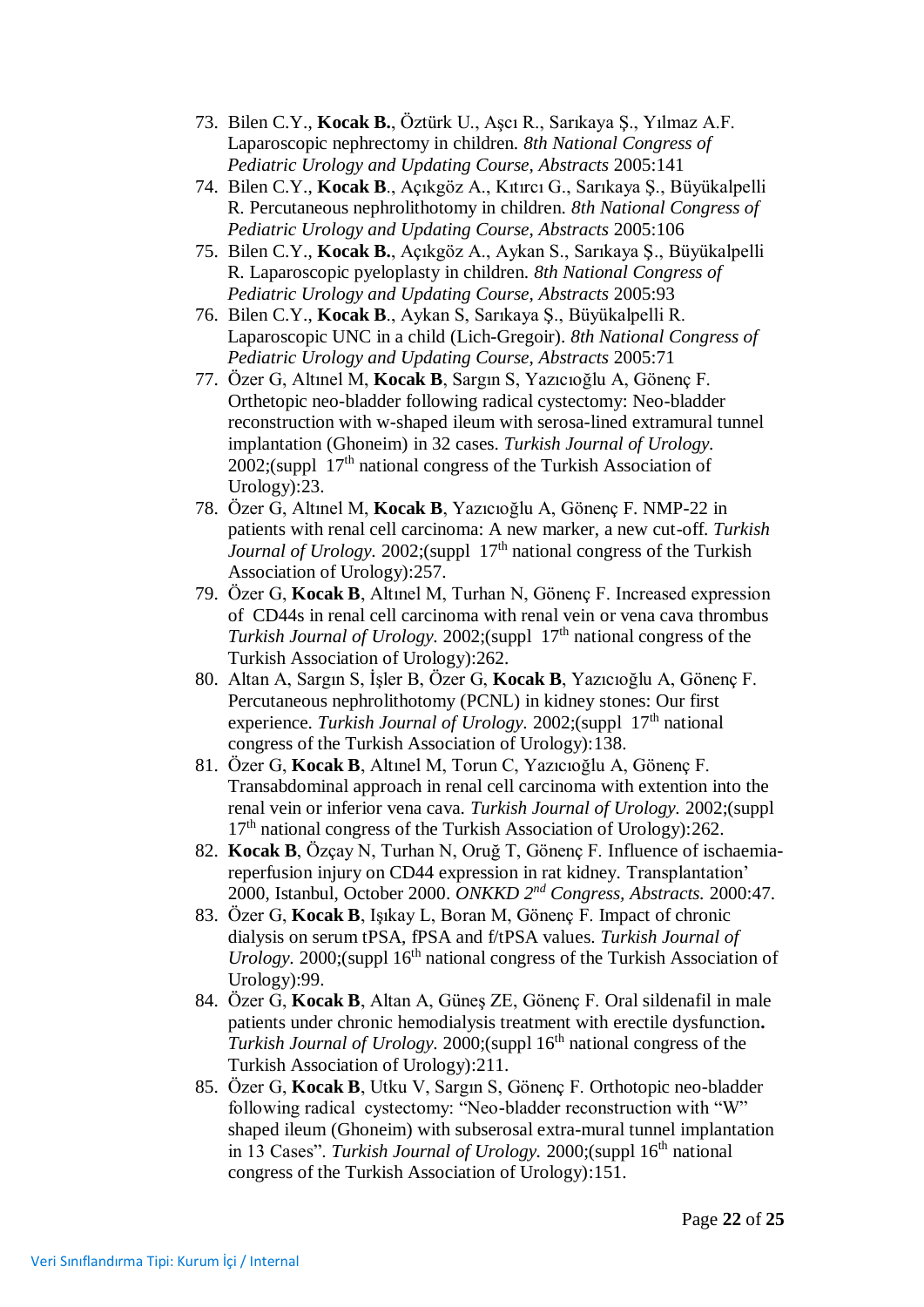- 73. Bilen C.Y., **Kocak B.**, Öztürk U., Aşcı R., Sarıkaya Ş., Yılmaz A.F. Laparoscopic nephrectomy in children. *8th National Congress of Pediatric Urology and Updating Course, Abstracts* 2005:141
- 74. Bilen C.Y., **Kocak B**., Açıkgöz A., Kıtırcı G., Sarıkaya Ş., Büyükalpelli R. Percutaneous nephrolithotomy in children. *8th National Congress of Pediatric Urology and Updating Course, Abstracts* 2005:106
- 75. Bilen C.Y., **Kocak B.**, Açıkgöz A., Aykan S., Sarıkaya Ş., Büyükalpelli R. Laparoscopic pyeloplasty in children. *8th National Congress of Pediatric Urology and Updating Course, Abstracts* 2005:93
- 76. Bilen C.Y., **Kocak B**., Aykan S, Sarıkaya Ş., Büyükalpelli R. Laparoscopic UNC in a child (Lich-Gregoir). *8th National Congress of Pediatric Urology and Updating Course, Abstracts* 2005:71
- 77. Özer G, Altınel M, **Kocak B**, Sargın S, Yazıcıoğlu A, Gönenç F. Orthetopic neo-bladder following radical cystectomy: Neo-bladder reconstruction with w-shaped ileum with serosa-lined extramural tunnel implantation (Ghoneim) in 32 cases. *Turkish Journal of Urology.*   $2002$ ;(suppl  $17<sup>th</sup>$  national congress of the Turkish Association of Urology):23.
- 78. Özer G, Altınel M, **Kocak B**, Yazıcıoğlu A, Gönenç F. NMP-22 in patients with renal cell carcinoma: A new marker, a new cut-off. *Turkish Journal of Urology.* 2002;(suppl 17<sup>th</sup> national congress of the Turkish Association of Urology):257.
- 79. Özer G, **Kocak B**, Altınel M, Turhan N, Gönenç F. Increased expression of CD44s in renal cell carcinoma with renal vein or vena cava thrombus *Turkish Journal of Urology.* 2002;(suppl 17<sup>th</sup> national congress of the Turkish Association of Urology):262.
- 80. Altan A, Sargın S, İşler B, Özer G, **Kocak B**, Yazıcıoğlu A, Gönenç F. Percutaneous nephrolithotomy (PCNL) in kidney stones: Our first experience. *Turkish Journal of Urology*. 2002;(suppl 17<sup>th</sup> national congress of the Turkish Association of Urology):138.
- 81. Özer G, **Kocak B**, Altınel M, Torun C, Yazıcıoğlu A, Gönenç F. Transabdominal approach in renal cell carcinoma with extention into the renal vein or inferior vena cava. *Turkish Journal of Urology.* 2002;(suppl  $17<sup>th</sup>$  national congress of the Turkish Association of Urology): 262.
- 82. **Kocak B**, Özçay N, Turhan N, Oruğ T, Gönenç F. Influence of ischaemiareperfusion injury on CD44 expression in rat kidney. Transplantation' 2000, Istanbul, October 2000. *ONKKD 2nd Congress, Abstracts.* 2000:47.
- 83. Özer G, **Kocak B**, Işıkay L, Boran M, Gönenç F. Impact of chronic dialysis on serum tPSA, fPSA and f/tPSA values. *Turkish Journal of Urology.* 2000;(suppl 16<sup>th</sup> national congress of the Turkish Association of Urology):99.
- 84. Özer G, **Kocak B**, Altan A, Güneş ZE, Gönenç F. Oral sildenafil in male patients under chronic hemodialysis treatment with erectile dysfunction**.** *Turkish Journal of Urology.* 2000;(suppl 16<sup>th</sup> national congress of the Turkish Association of Urology):211.
- 85. Özer G, **Kocak B**, Utku V, Sargın S, Gönenç F. Orthotopic neo-bladder following radical cystectomy: "Neo-bladder reconstruction with "W" shaped ileum (Ghoneim) with subserosal extra-mural tunnel implantation in 13 Cases". *Turkish Journal of Urology.* 2000; (suppl 16<sup>th</sup> national congress of the Turkish Association of Urology):151.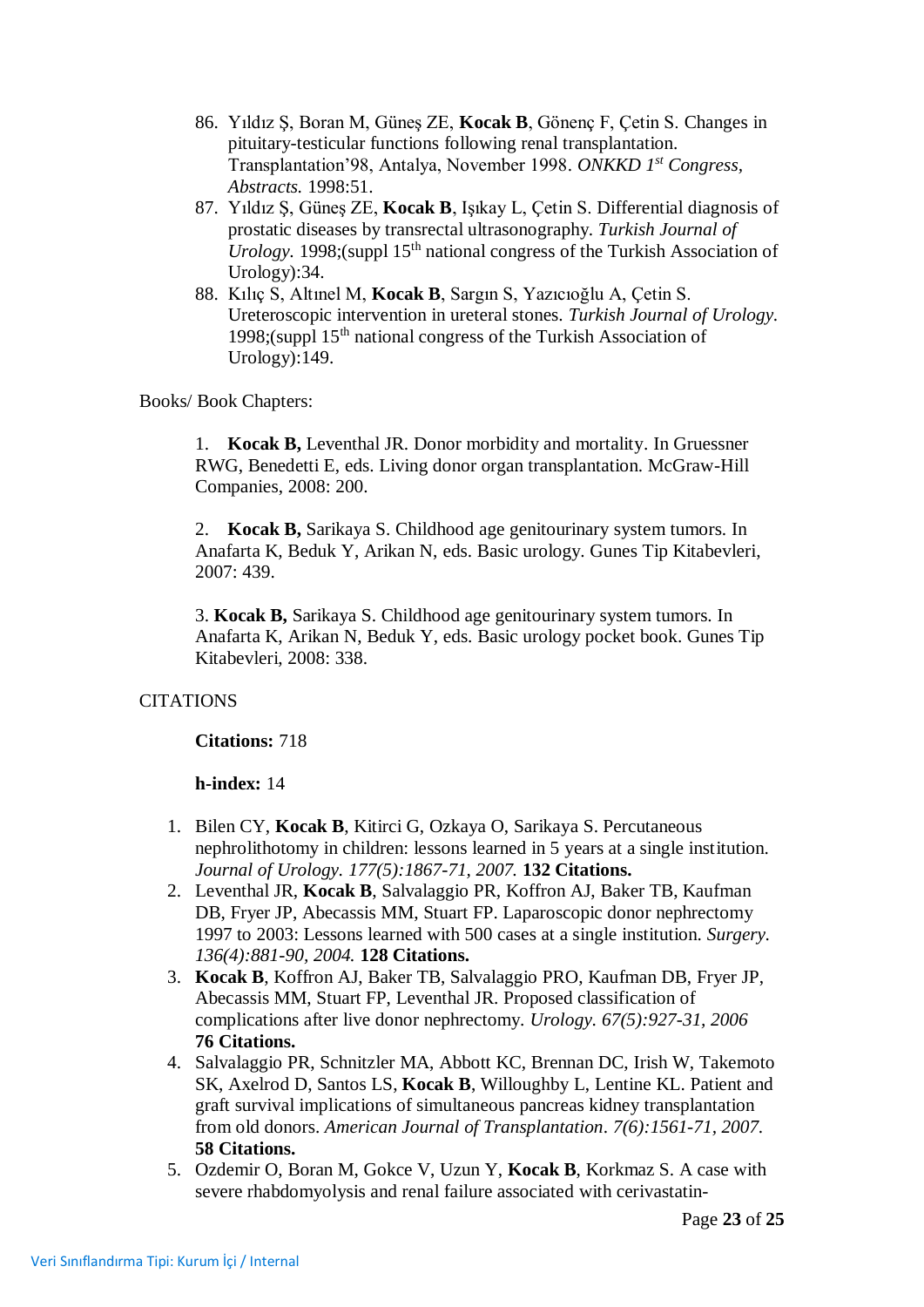- 86. Yıldız Ş, Boran M, Güneş ZE, **Kocak B**, Gönenç F, Çetin S. Changes in pituitary-testicular functions following renal transplantation. Transplantation'98, Antalya, November 1998. *ONKKD 1st Congress, Abstracts.* 1998:51.
- 87. Yıldız Ş, Güneş ZE, **Kocak B**, Işıkay L, Çetin S. Differential diagnosis of prostatic diseases by transrectal ultrasonography. *Turkish Journal of Urology.* 1998;(suppl 15<sup>th</sup> national congress of the Turkish Association of Urology):34.
- 88. Kılıç S, Altınel M, **Kocak B**, Sargın S, Yazıcıoğlu A, Çetin S. Ureteroscopic intervention in ureteral stones. *Turkish Journal of Urology.*  1998;(suppl  $15<sup>th</sup>$  national congress of the Turkish Association of Urology):149.

Books/ Book Chapters:

1. **Kocak B,** Leventhal JR. Donor morbidity and mortality. In Gruessner RWG, Benedetti E, eds. Living donor organ transplantation. McGraw-Hill Companies, 2008: 200.

2. **Kocak B,** Sarikaya S. Childhood age genitourinary system tumors. In Anafarta K, Beduk Y, Arikan N, eds. Basic urology. Gunes Tip Kitabevleri, 2007: 439.

3. **Kocak B,** Sarikaya S. Childhood age genitourinary system tumors. In Anafarta K, Arikan N, Beduk Y, eds. Basic urology pocket book. Gunes Tip Kitabevleri, 2008: 338.

# **CITATIONS**

**Citations:** 718

**h-index:** 14

- 1. Bilen CY, **Kocak B**, Kitirci G, Ozkaya O, Sarikaya S. Percutaneous nephrolithotomy in children: lessons learned in 5 years at a single institution. *Journal of Urology. 177(5):1867-71, 2007.* **132 Citations.**
- 2. Leventhal JR, **Kocak B**, Salvalaggio PR, Koffron AJ, Baker TB, Kaufman DB, Fryer JP, Abecassis MM, Stuart FP. Laparoscopic donor nephrectomy 1997 to 2003: Lessons learned with 500 cases at a single institution. *Surgery. 136(4):881-90, 2004.* **128 Citations.**
- 3. **Kocak B**, Koffron AJ, Baker TB, Salvalaggio PRO, Kaufman DB, Fryer JP, Abecassis MM, Stuart FP, Leventhal JR. Proposed classification of complications after live donor nephrectomy. *Urology. 67(5):927-31, 2006* **76 Citations.**
- 4. [Salvalaggio PR,](http://www.ncbi.nlm.nih.gov/sites/entrez?Db=pubmed&Cmd=Search&Term=%22Salvalaggio%20PR%22%5BAuthor%5D&itool=EntrezSystem2.PEntrez.Pubmed.Pubmed_ResultsPanel.Pubmed_RVAbstractPlus) [Schnitzler MA,](http://www.ncbi.nlm.nih.gov/sites/entrez?Db=pubmed&Cmd=Search&Term=%22Schnitzler%20MA%22%5BAuthor%5D&itool=EntrezSystem2.PEntrez.Pubmed.Pubmed_ResultsPanel.Pubmed_RVAbstractPlus) [Abbott KC,](http://www.ncbi.nlm.nih.gov/sites/entrez?Db=pubmed&Cmd=Search&Term=%22Abbott%20KC%22%5BAuthor%5D&itool=EntrezSystem2.PEntrez.Pubmed.Pubmed_ResultsPanel.Pubmed_RVAbstractPlus) [Brennan DC,](http://www.ncbi.nlm.nih.gov/sites/entrez?Db=pubmed&Cmd=Search&Term=%22Brennan%20DC%22%5BAuthor%5D&itool=EntrezSystem2.PEntrez.Pubmed.Pubmed_ResultsPanel.Pubmed_RVAbstractPlus) [Irish W,](http://www.ncbi.nlm.nih.gov/sites/entrez?Db=pubmed&Cmd=Search&Term=%22Irish%20W%22%5BAuthor%5D&itool=EntrezSystem2.PEntrez.Pubmed.Pubmed_ResultsPanel.Pubmed_RVAbstractPlus) [Takemoto](http://www.ncbi.nlm.nih.gov/sites/entrez?Db=pubmed&Cmd=Search&Term=%22Takemoto%20SK%22%5BAuthor%5D&itool=EntrezSystem2.PEntrez.Pubmed.Pubmed_ResultsPanel.Pubmed_RVAbstractPlus)  [SK,](http://www.ncbi.nlm.nih.gov/sites/entrez?Db=pubmed&Cmd=Search&Term=%22Takemoto%20SK%22%5BAuthor%5D&itool=EntrezSystem2.PEntrez.Pubmed.Pubmed_ResultsPanel.Pubmed_RVAbstractPlus) [Axelrod D,](http://www.ncbi.nlm.nih.gov/sites/entrez?Db=pubmed&Cmd=Search&Term=%22Axelrod%20D%22%5BAuthor%5D&itool=EntrezSystem2.PEntrez.Pubmed.Pubmed_ResultsPanel.Pubmed_RVAbstractPlus) [Santos LS,](http://www.ncbi.nlm.nih.gov/sites/entrez?Db=pubmed&Cmd=Search&Term=%22Santos%20LS%22%5BAuthor%5D&itool=EntrezSystem2.PEntrez.Pubmed.Pubmed_ResultsPanel.Pubmed_RVAbstractPlus) **[Kocak B](http://www.ncbi.nlm.nih.gov/sites/entrez?Db=pubmed&Cmd=Search&Term=%22Kocak%20B%22%5BAuthor%5D&itool=EntrezSystem2.PEntrez.Pubmed.Pubmed_ResultsPanel.Pubmed_RVAbstractPlus)**, [Willoughby L,](http://www.ncbi.nlm.nih.gov/sites/entrez?Db=pubmed&Cmd=Search&Term=%22Willoughby%20L%22%5BAuthor%5D&itool=EntrezSystem2.PEntrez.Pubmed.Pubmed_ResultsPanel.Pubmed_RVAbstractPlus) [Lentine KL.](http://www.ncbi.nlm.nih.gov/sites/entrez?Db=pubmed&Cmd=Search&Term=%22Lentine%20KL%22%5BAuthor%5D&itool=EntrezSystem2.PEntrez.Pubmed.Pubmed_ResultsPanel.Pubmed_RVAbstractPlus) Patient and graft survival implications of simultaneous pancreas kidney transplantation from old donors. *American Journal of Transplantation*. *7(6):1561-71, 2007.*  **58 Citations.**
- 5. Ozdemir O, Boran M, Gokce V, Uzun Y, **Kocak B**, Korkmaz S. A case with severe rhabdomyolysis and renal failure associated with cerivastatin-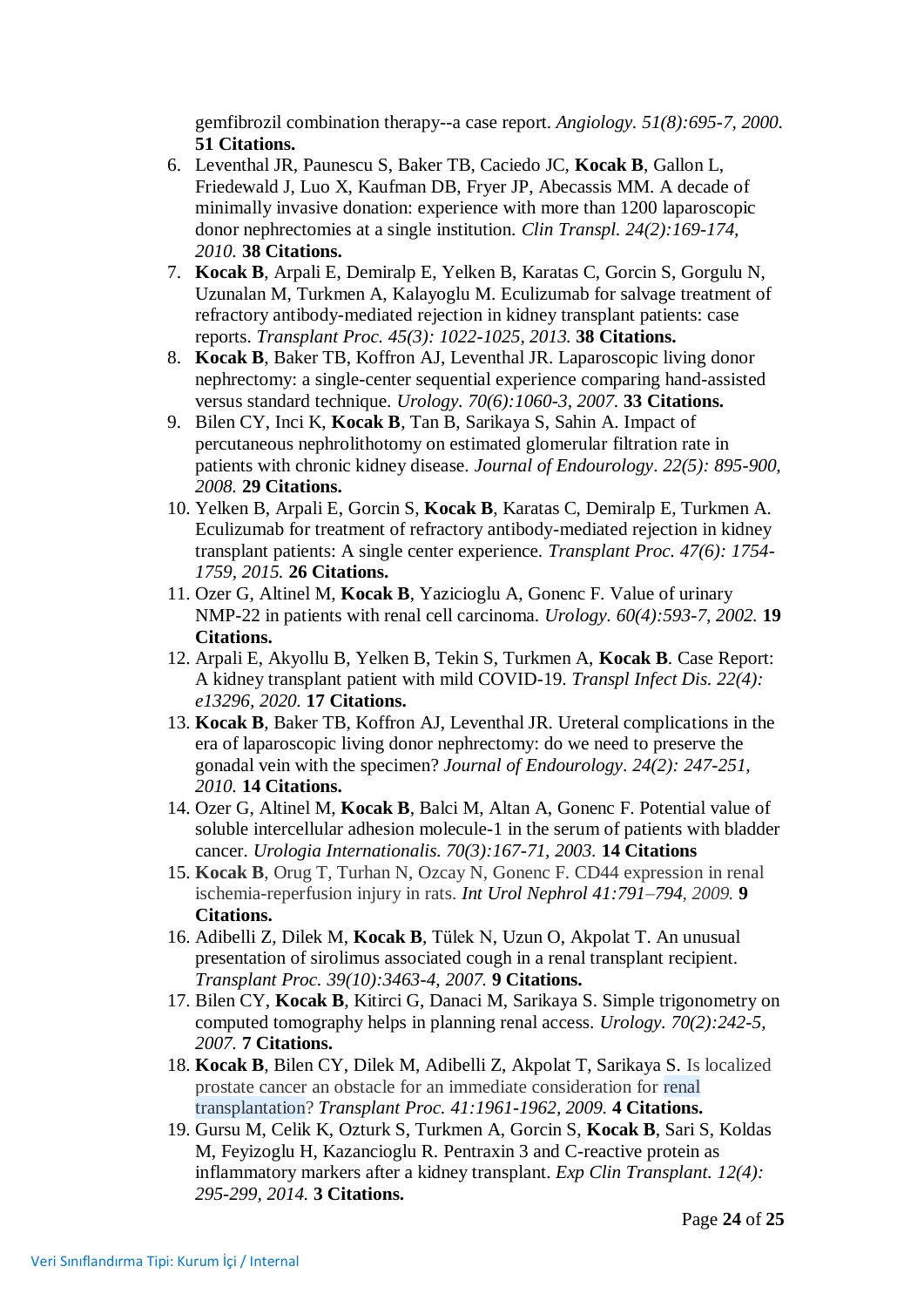gemfibrozil combination therapy--a case report. *Angiology. 51(8):695-7, 2000.*  **51 Citations.**

- 6. Leventhal JR, Paunescu S, Baker TB, Caciedo JC, **Kocak B**, Gallon L, Friedewald J, Luo X, Kaufman DB, Fryer JP, Abecassis MM. A decade of minimally invasive donation: experience with more than 1200 laparoscopic donor nephrectomies at a single institution. *Clin Transpl. 24(2):169-174, 2010.* **38 Citations.**
- 7. **Kocak B**, Arpali E, Demiralp E, Yelken B, Karatas C, Gorcin S, Gorgulu N, Uzunalan M, Turkmen A, Kalayoglu M. Eculizumab for salvage treatment of refractory antibody-mediated rejection in kidney transplant patients: case reports. *Transplant Proc. 45(3): 1022-1025, 2013.* **38 Citations.**
- 8. **[Kocak B](http://www.ncbi.nlm.nih.gov/sites/entrez?Db=pubmed&Cmd=Search&Term=%22Kocak%20B%22%5BAuthor%5D&itool=EntrezSystem2.PEntrez.Pubmed.Pubmed_ResultsPanel.Pubmed_RVAbstractPlus)**, [Baker TB,](http://www.ncbi.nlm.nih.gov/sites/entrez?Db=pubmed&Cmd=Search&Term=%22Baker%20TB%22%5BAuthor%5D&itool=EntrezSystem2.PEntrez.Pubmed.Pubmed_ResultsPanel.Pubmed_RVAbstractPlus) [Koffron AJ,](http://www.ncbi.nlm.nih.gov/sites/entrez?Db=pubmed&Cmd=Search&Term=%22Koffron%20AJ%22%5BAuthor%5D&itool=EntrezSystem2.PEntrez.Pubmed.Pubmed_ResultsPanel.Pubmed_RVAbstractPlus) [Leventhal JR.](http://www.ncbi.nlm.nih.gov/sites/entrez?Db=pubmed&Cmd=Search&Term=%22Leventhal%20JR%22%5BAuthor%5D&itool=EntrezSystem2.PEntrez.Pubmed.Pubmed_ResultsPanel.Pubmed_RVAbstractPlus) Laparoscopic living donor nephrectomy: a single-center sequential experience comparing hand-assisted versus standard technique. *Urology. 70(6):1060-3, 2007.* **33 Citations.**
- 9. Bilen CY, Inci K, **Kocak B**, Tan B, Sarikaya S, Sahin A. Impact of percutaneous nephrolithotomy on estimated glomerular filtration rate in patients with chronic kidney disease. *Journal of Endourology*. *22(5): 895-900, 2008.* **29 Citations.**
- 10. Yelken B, Arpali E, Gorcin S, **Kocak B**, Karatas C, Demiralp E, Turkmen A. Eculizumab for treatment of refractory antibody-mediated rejection in kidney transplant patients: A single center experience. *Transplant Proc. 47(6): 1754- 1759, 2015.* **26 Citations.**
- 11. Ozer G, Altinel M, **Kocak B**, Yazicioglu A, Gonenc F. Value of urinary NMP-22 in patients with renal cell carcinoma. *Urology. 60(4):593-7, 2002.* **19 Citations.**
- 12. Arpali E, Akyollu B, Yelken B, Tekin S, Turkmen A, **Kocak B**. Case Report: A kidney transplant patient with mild COVID-19. *Transpl Infect Dis. 22(4): e13296, 2020.* **17 Citations.**
- 13. **Kocak B**, Baker TB, Koffron AJ, Leventhal JR. Ureteral complications in the era of laparoscopic living donor nephrectomy: do we need to preserve the gonadal vein with the specimen? *Journal of Endourology*. *24(2): 247-251, 2010.* **14 Citations.**
- 14. Ozer G, Altinel M, **Kocak B**, Balci M, Altan A, Gonenc F. Potential value of soluble intercellular adhesion molecule-1 in the serum of patients with bladder cancer. *Urologia Internationalis. 70(3):167-71, 2003.* **14 Citations**
- 15. **Kocak B**, Orug T, Turhan N, Ozcay N, Gonenc F. CD44 expression in renal ischemia-reperfusion injury in rats. *Int Urol Nephrol 41:791–794, 2009.* **9 Citations.**
- 16. [Adibelli Z,](http://www.ncbi.nlm.nih.gov/sites/entrez?Db=pubmed&Cmd=Search&Term=%22Adibelli%20Z%22%5BAuthor%5D&itool=EntrezSystem2.PEntrez.Pubmed.Pubmed_ResultsPanel.Pubmed_RVAbstractPlus) [Dilek M,](http://www.ncbi.nlm.nih.gov/sites/entrez?Db=pubmed&Cmd=Search&Term=%22Dilek%20M%22%5BAuthor%5D&itool=EntrezSystem2.PEntrez.Pubmed.Pubmed_ResultsPanel.Pubmed_RVAbstractPlus) **[Kocak B](http://www.ncbi.nlm.nih.gov/sites/entrez?Db=pubmed&Cmd=Search&Term=%22Kocak%20B%22%5BAuthor%5D&itool=EntrezSystem2.PEntrez.Pubmed.Pubmed_ResultsPanel.Pubmed_RVAbstractPlus)**, [Tülek N,](http://www.ncbi.nlm.nih.gov/sites/entrez?Db=pubmed&Cmd=Search&Term=%22T%C3%BClek%20N%22%5BAuthor%5D&itool=EntrezSystem2.PEntrez.Pubmed.Pubmed_ResultsPanel.Pubmed_RVAbstractPlus) [Uzun O,](http://www.ncbi.nlm.nih.gov/sites/entrez?Db=pubmed&Cmd=Search&Term=%22Uzun%20O%22%5BAuthor%5D&itool=EntrezSystem2.PEntrez.Pubmed.Pubmed_ResultsPanel.Pubmed_RVAbstractPlus) [Akpolat T.](http://www.ncbi.nlm.nih.gov/sites/entrez?Db=pubmed&Cmd=Search&Term=%22Akpolat%20T%22%5BAuthor%5D&itool=EntrezSystem2.PEntrez.Pubmed.Pubmed_ResultsPanel.Pubmed_RVAbstractPlus) An unusual presentation of sirolimus associated cough in a renal transplant recipient. *[Transplant Proc.](javascript:AL_get(this,%20) 39(10):3463-4, 2007.* **9 Citations.**
- 17. [Bilen CY,](http://www.ncbi.nlm.nih.gov/sites/entrez?Db=pubmed&Cmd=Search&Term=%22Bilen%20CY%22%5BAuthor%5D&itool=EntrezSystem2.PEntrez.Pubmed.Pubmed_ResultsPanel.Pubmed_RVAbstractPlus) **[Kocak B](http://www.ncbi.nlm.nih.gov/sites/entrez?Db=pubmed&Cmd=Search&Term=%22Ko%C3%A7ak%20B%22%5BAuthor%5D&itool=EntrezSystem2.PEntrez.Pubmed.Pubmed_ResultsPanel.Pubmed_RVAbstractPlus)**, [Kitirci G,](http://www.ncbi.nlm.nih.gov/sites/entrez?Db=pubmed&Cmd=Search&Term=%22Kitirci%20G%22%5BAuthor%5D&itool=EntrezSystem2.PEntrez.Pubmed.Pubmed_ResultsPanel.Pubmed_RVAbstractPlus) [Danaci M,](http://www.ncbi.nlm.nih.gov/sites/entrez?Db=pubmed&Cmd=Search&Term=%22Danaci%20M%22%5BAuthor%5D&itool=EntrezSystem2.PEntrez.Pubmed.Pubmed_ResultsPanel.Pubmed_RVAbstractPlus) [Sarikaya S.](http://www.ncbi.nlm.nih.gov/sites/entrez?Db=pubmed&Cmd=Search&Term=%22Sarikaya%20S%22%5BAuthor%5D&itool=EntrezSystem2.PEntrez.Pubmed.Pubmed_ResultsPanel.Pubmed_RVAbstractPlus) Simple trigonometry on computed tomography helps in planning renal access. *[Urology.](javascript:AL_get(this,%20) 70(2):242-5, 2007.* **7 Citations.**
- 18. **Kocak B**, Bilen CY, Dilek M, Adibelli Z, Akpolat T, Sarikaya S. Is localized prostate cancer an obstacle for an immediate consideration for renal transplantation? *[Transplant Proc.](javascript:AL_get(this,%20) 41:1961-1962, 2009.* **4 Citations.**
- 19. Gursu M, Celik K, Ozturk S, Turkmen A, Gorcin S, **Kocak B**, Sari S, Koldas M, Feyizoglu H, Kazancioglu R. Pentraxin 3 and C-reactive protein as inflammatory markers after a kidney transplant. *Exp Clin Transplant. 12(4): 295-299, 2014.* **3 Citations.**